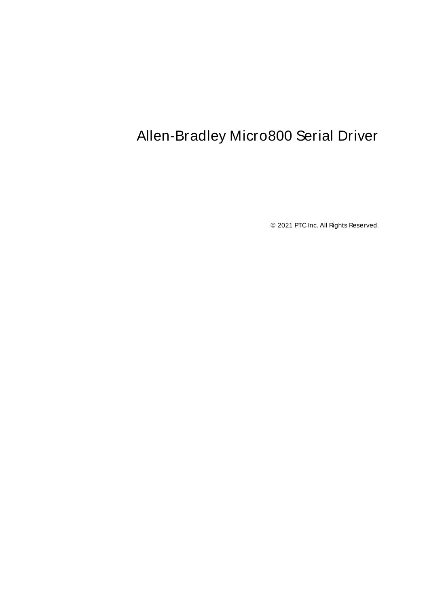# <span id="page-0-0"></span>Allen-Bradley Micro800 Serial Driver

© 2021 PTC Inc. All Rights Reserved.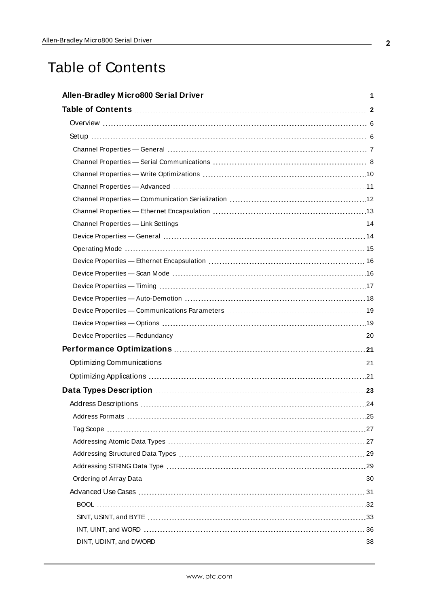# <span id="page-1-0"></span>Table of Contents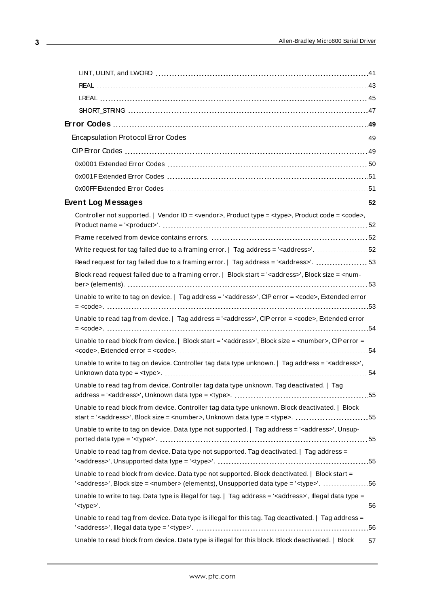| Controller not supported.   Vendor ID = <vendor>, Product type = <type>, Product code = <code>,</code></type></vendor>                                                                                  |    |
|---------------------------------------------------------------------------------------------------------------------------------------------------------------------------------------------------------|----|
|                                                                                                                                                                                                         |    |
| Write request for tag failed due to a framing error.   Tag address = ' <address>'. 52</address>                                                                                                         |    |
| Read request for tag failed due to a framing error.   Tag address = ' <address>'.  53</address>                                                                                                         |    |
| Block read request failed due to a framing error.   Block start = ' <address>', Block size = <num-< td=""><td></td></num-<></address>                                                                   |    |
| Unable to write to tag on device.   Tag address = ' <address>', CIP error = <code>, Extended error</code></address>                                                                                     |    |
| Unable to read tag from device.   Tag address = ' <address>', CIP error = <code>, Extended error</code></address>                                                                                       |    |
| Unable to read block from device.   Block start = ' <address>', Block size = <number>, CIP error =</number></address>                                                                                   |    |
| Unable to write to tag on device. Controller tag data type unknown.   Tag address = ' <address>',</address>                                                                                             |    |
| Unable to read tag from device. Controller tag data type unknown. Tag deactivated.   Tag                                                                                                                |    |
| Unable to read block from device. Controller tag data type unknown. Block deactivated.   Block<br>start = ' <address>', Block size = <number>, Unknown data type = <type>. 55</type></number></address> |    |
| Unable to write to tag on device. Data type not supported.   Tag address = ' <address>', Unsup-</address>                                                                                               |    |
| Unable to read tag from device. Data type not supported. Tag deactivated.   Tag address =                                                                                                               |    |
| Unable to read block from device. Data type not supported. Block deactivated.   Block start =<br>5656   < address>', Block size = < number> (elements), Unsupported data type = ' <type>'56</type>      |    |
| Unable to write to tag. Data type is illegal for tag.   Tag address = ' <address>', Illegal data type =</address>                                                                                       |    |
| Unable to read tag from device. Data type is illegal for this tag. Tag deactivated.   Tag address =                                                                                                     |    |
| Unable to read block from device. Data type is illegal for this block. Block deactivated.   Block                                                                                                       | 57 |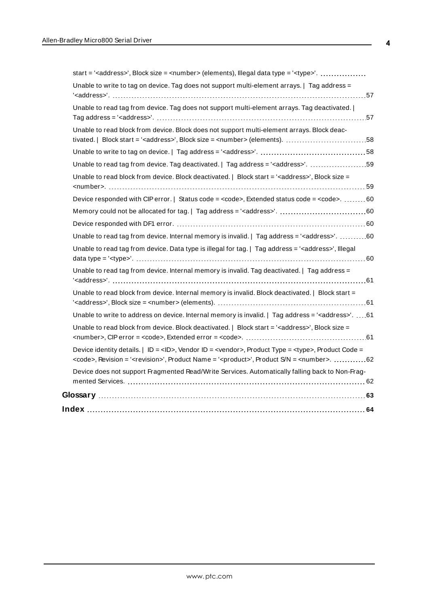| Unable to write to tag on device. Tag does not support multi-element arrays.   Tag address =                                                                                                                                                              |  |
|-----------------------------------------------------------------------------------------------------------------------------------------------------------------------------------------------------------------------------------------------------------|--|
| Unable to read tag from device. Tag does not support multi-element arrays. Tag deactivated.                                                                                                                                                               |  |
| Unable to read block from device. Block does not support multi-element arrays. Block deac-                                                                                                                                                                |  |
|                                                                                                                                                                                                                                                           |  |
| Unable to read tag from device. Tag deactivated.   Tag address = ' <address>'. 59</address>                                                                                                                                                               |  |
| Unable to read block from device. Block deactivated.   Block start = ' <address>', Block size =</address>                                                                                                                                                 |  |
| Device responded with CIP error.   Status code = <code>, Extended status code = <code>. 60</code></code>                                                                                                                                                  |  |
|                                                                                                                                                                                                                                                           |  |
|                                                                                                                                                                                                                                                           |  |
| Unable to read tag from device. Internal memory is invalid.   Tag address = ' <address>'. 60</address>                                                                                                                                                    |  |
| Unable to read tag from device. Data type is illegal for tag.   Tag address = ' <address>', Illegal</address>                                                                                                                                             |  |
| Unable to read tag from device. Internal memory is invalid. Tag deactivated.   Tag address =                                                                                                                                                              |  |
| Unable to read block from device. Internal memory is invalid. Block deactivated.   Block start =                                                                                                                                                          |  |
| Unable to write to address on device. Internal memory is invalid.   Tag address = ' <address>'. 61</address>                                                                                                                                              |  |
| Unable to read block from device. Block deactivated.   Block start = ' <address>', Block size =</address>                                                                                                                                                 |  |
| Device identity details. $ $ ID = <id>, Vendor ID = <vendor>, Product Type = <type>, Product Code =<br/><code>, Revision = '<revision>', Product Name = '<product>', Product S/N = <number>. 62</number></product></revision></code></type></vendor></id> |  |
| Device does not support Fragmented Read/Write Services. Automatically falling back to Non-Frag-                                                                                                                                                           |  |
|                                                                                                                                                                                                                                                           |  |
|                                                                                                                                                                                                                                                           |  |
|                                                                                                                                                                                                                                                           |  |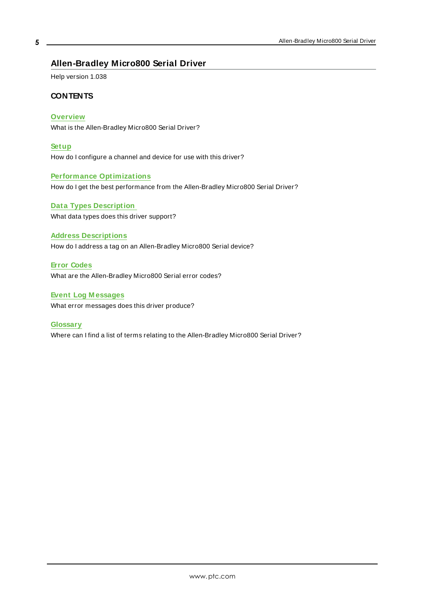# <span id="page-4-0"></span>**Allen-Bradley Micro800 Serial Driver**

Help version 1.038

### **CONTENTS**

#### **[Overview](#page-5-0)**

What is the Allen-Bradley Micro800 Serial Driver?

#### **[Setup](#page-5-1)**

How do I configure a channel and device for use with this driver?

#### **Performance [Optimizations](#page-20-0)**

How do I get the best performance from the Allen-Bradley Micro800 Serial Driver?

# **Data Types [Description](#page-22-0)** What data types does this driver support?

#### **Address [Descriptions](#page-23-0)**

How do I address a tag on an Allen-Bradley Micro800 Serial device?

## **Error [Codes](#page-48-0)**

What are the Allen-Bradley Micro800 Serial error codes?

# **Event Log [M essages](#page-51-1)**

What error messages does this driver produce?

#### **[Glossary](#page-62-0)**

Where can I find a list of terms relating to the Allen-Bradley Micro800 Serial Driver?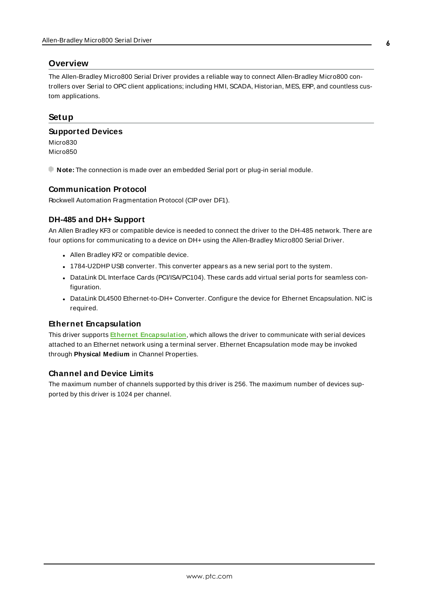### <span id="page-5-0"></span>**Overview**

The Allen-Bradley Micro800 Serial Driver provides a reliable way to connect Allen-Bradley Micro800 controllers over Serial to OPC client applications; including HMI, SCADA, Historian, MES, ERP, and countless custom applications.

### <span id="page-5-3"></span><span id="page-5-1"></span>**Setup**

#### **Supported Devices**

Micro830 Micro850

<span id="page-5-2"></span>**Note:** The connection is made over an embedded Serial port or plug-in serial module.

#### **Communication Protocol**

Rockwell Automation Fragmentation Protocol (CIPover DF1).

## **DH-485 and DH+ Support**

An Allen Bradley KF3 or compatible device is needed to connect the driver to the DH-485 network. There are four options for communicating to a device on DH+ using the Allen-Bradley Micro800 Serial Driver.

- Allen Bradley KF2 or compatible device.
- . 1784-U2DHP USB converter. This converter appears as a new serial port to the system.
- DataLink DL Interface Cards (PCI/ISA/PC104). These cards add virtual serial ports for seamless configuration.
- DataLink DL4500 Ethernet-to-DH+ Converter. Configure the device for Ethernet Encapsulation. NIC is required.

### **Ethernet Encapsulation**

This driver supports **Ethernet [Encapsulation](#page-12-0)**, which allows the driver to communicate with serial devices attached to an Ethernet network using a terminal server. Ethernet Encapsulation mode may be invoked through **Physical Medium** in Channel Properties.

### **Channel and Device Limits**

The maximum number of channels supported by this driver is 256. The maximum number of devices supported by this driver is 1024 per channel.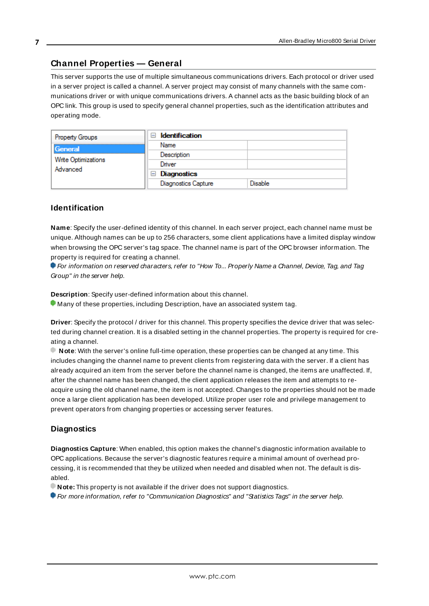# <span id="page-6-0"></span>**Channel Properties — General**

This server supports the use of multiple simultaneous communications drivers. Each protocol or driver used in a server project is called a channel. A server project may consist of many channels with the same communications driver or with unique communications drivers. A channel acts as the basic building block of an OPC link. This group is used to specify general channel properties, such as the identification attributes and operating mode.

| <b>Property Groups</b>          | <b>Identification</b><br>-1         |                |
|---------------------------------|-------------------------------------|----------------|
| General                         | Name                                |                |
|                                 | Description                         |                |
| Write Optimizations<br>Advanced | Driver                              |                |
|                                 | <b>Diagnostics</b><br>$\overline{}$ |                |
|                                 | <b>Diagnostics Capture</b>          | <b>Disable</b> |

### **Identification**

**Name**: Specify the user-defined identity of this channel. In each server project, each channel name must be unique. Although names can be up to 256 characters, some client applications have a limited display window when browsing the OPC server's tag space. The channel name is part of the OPC browser information. The property is required for creating a channel.

For information on reserved characters, refer to "How To... Properly Name a Channel, Device, Tag, and Tag Group" in the server help.

**Description**: Specify user-defined information about this channel.

Many of these properties, including Description, have an associated system tag.

**Driver**: Specify the protocol / driver for this channel. This property specifies the device driver that was selected during channel creation. It is a disabled setting in the channel properties. The property is required for creating a channel.

**Note**: With the server's online full-time operation, these properties can be changed at any time. This includes changing the channel name to prevent clients from registering data with the server. If a client has already acquired an item from the server before the channel name is changed, the items are unaffected. If, after the channel name has been changed, the client application releases the item and attempts to reacquire using the old channel name, the item is not accepted. Changes to the properties should not be made once a large client application has been developed. Utilize proper user role and privilege management to prevent operators from changing properties or accessing server features.

#### **Diagnostics**

**Diagnostics Capture**: When enabled, this option makes the channel's diagnostic information available to OPC applications. Because the server's diagnostic features require a minimal amount of overhead processing, it is recommended that they be utilized when needed and disabled when not. The default is disabled.

**Note:** This property is not available if the driver does not support diagnostics.

For more information, refer to "Communication Diagnostics" and "Statistics Tags" in the server help.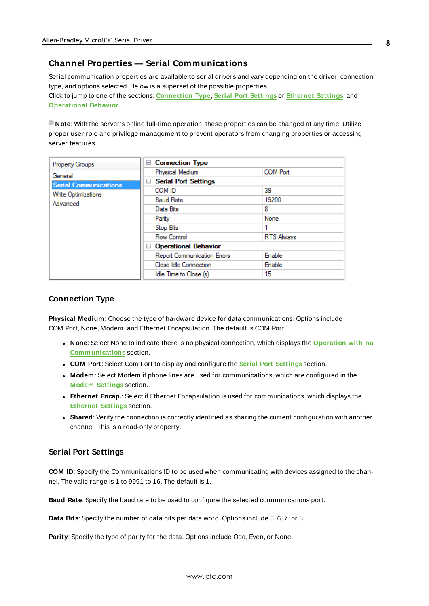# <span id="page-7-0"></span>**Channel Properties — Serial Communications**

Serial communication properties are available to serial drivers and vary depending on the driver, connection type, and options selected. Below is a superset of the possible properties. Click to jump to one of the sections: **[Connection](#page-7-1) Type**, **Serial Port [Settings](#page-7-2)** or **[Ethernet](#page-8-0) Settings**, and **[Operational](#page-8-1) Behavior**.

**Note**: With the server's online full-time operation, these properties can be changed at any time. Utilize proper user role and privilege management to prevent operators from changing properties or accessing server features.

| Property Groups              | <b>Connection Type</b><br>$=$      |                   |
|------------------------------|------------------------------------|-------------------|
| General                      | Physical Medium                    | <b>COM Port</b>   |
| <b>Serial Communications</b> | <b>Serial Port Settings</b><br>$=$ |                   |
| Write Optimizations          | COM ID                             | 39                |
| Advanced                     | <b>Baud Rate</b>                   | 19200             |
|                              | Data Bits                          | 8                 |
|                              | Parity                             | None              |
|                              | Stop Bits                          |                   |
|                              | <b>Flow Control</b>                | <b>RTS Always</b> |
|                              | <b>Operational Behavior</b><br>н   |                   |
|                              | <b>Report Communication Errors</b> | Enable            |
|                              | Close Idle Connection              | Enable            |
|                              | Idle Time to Close (s)             | 15                |

### <span id="page-7-1"></span>**Connection Type**

**Physical Medium**: Choose the type of hardware device for data communications. Options include COM Port, None, Modem, and Ethernet Encapsulation. The default is COM Port.

- <sup>l</sup> **None**: Select None to indicate there is no physical connection, which displays the **[Operation](#page-9-1) with no [Communications](#page-9-1)** section.
- <sup>l</sup> **COM Port**: Select Com Port to display and configure the **Serial Port [Settings](#page-7-2)** section.
- **Modem**: Select Modem if phone lines are used for communications, which are configured in the **Modem [Settings](#page-9-2)** section.
- **Ethernet Encap.**: Select if Ethernet Encapsulation is used for communications, which displays the **[Ethernet](#page-8-0) Settings** section.
- **Shared**: Verify the connection is correctly identified as sharing the current configuration with another channel. This is a read-only property.

### <span id="page-7-2"></span>**Serial Port Settings**

**COM ID**: Specify the Communications ID to be used when communicating with devices assigned to the channel. The valid range is 1 to 9991 to 16. The default is 1.

**Baud Rate**: Specify the baud rate to be used to configure the selected communications port.

**Data Bits**: Specify the number of data bits per data word. Options include 5, 6, 7, or 8.

**Parity**: Specify the type of parity for the data. Options include Odd, Even, or None.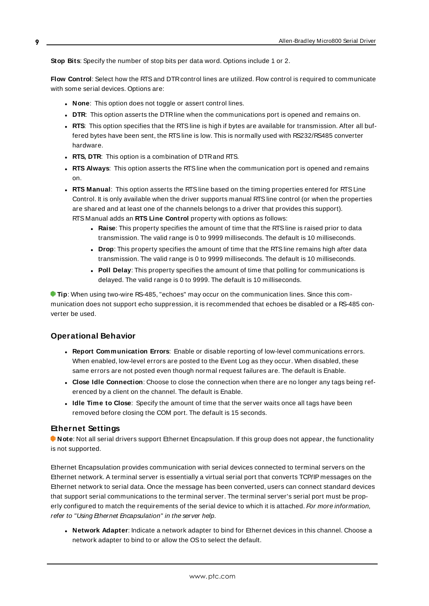**Stop Bits**: Specify the number of stop bits per data word. Options include 1 or 2.

**Flow Control**: Select how the RTSand DTRcontrol lines are utilized. Flow control is required to communicate with some serial devices. Options are:

- **None:** This option does not toggle or assert control lines.
- **DTR:** This option asserts the DTR line when the communications port is opened and remains on.
- **RTS:** This option specifies that the RTS line is high if bytes are available for transmission. After all buffered bytes have been sent, the RTSline is low. This is normally used with RS232/RS485 converter hardware.
- **RTS, DTR:** This option is a combination of DTR and RTS.
- <sup>l</sup> **RTS Always**: This option asserts the RTSline when the communication port is opened and remains on.
- <sup>l</sup> **RTS Manual**: This option asserts the RTSline based on the timing properties entered for RTSLine Control. It is only available when the driver supports manual RTSline control (or when the properties are shared and at least one of the channels belongs to a driver that provides this support). RTS Manual adds an **RTS Line Control** property with options as follows:
	- **Raise**: This property specifies the amount of time that the RTS line is raised prior to data transmission. The valid range is 0 to 9999 milliseconds. The default is 10 milliseconds.
	- **Drop**: This property specifies the amount of time that the RTS line remains high after data transmission. The valid range is 0 to 9999 milliseconds. The default is 10 milliseconds.
	- **Poll Delay**: This property specifies the amount of time that polling for communications is delayed. The valid range is 0 to 9999. The default is 10 milliseconds.

**Tip**: When using two-wire RS-485, "echoes" may occur on the communication lines. Since this communication does not support echo suppression, it is recommended that echoes be disabled or a RS-485 converter be used.

# <span id="page-8-1"></span>**Operational Behavior**

- <sup>l</sup> **Report Communication Errors**: Enable or disable reporting of low-level communications errors. When enabled, low-level errors are posted to the Event Log as they occur. When disabled, these same errors are not posted even though normal request failures are. The default is Enable.
- <sup>l</sup> **Close Idle Connection**: Choose to close the connection when there are no longer any tags being referenced by a client on the channel. The default is Enable.
- <sup>l</sup> **Idle Time to Close**: Specify the amount of time that the server waits once all tags have been removed before closing the COM port. The default is 15 seconds.

### <span id="page-8-0"></span>**Ethernet Settings**

**Note**: Not all serial drivers support Ethernet Encapsulation. If this group does not appear, the functionality is not supported.

Ethernet Encapsulation provides communication with serial devices connected to terminal servers on the Ethernet network. A terminal server is essentially a virtual serial port that converts TCP/IP messages on the Ethernet network to serial data. Once the message has been converted, users can connect standard devices that support serial communications to the terminal server. The terminal server's serial port must be properly configured to match the requirements of the serial device to which it is attached. For more information, refer to "Using Ethernet Encapsulation" in the server help.

**· Network Adapter**: Indicate a network adapter to bind for Ethernet devices in this channel. Choose a network adapter to bind to or allow the OSto select the default.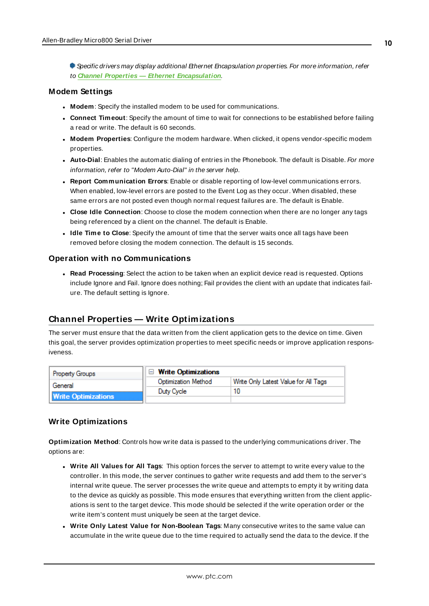Specific drivers may display additional Ethernet Encapsulation properties. For more information, refer to **Channel Properties — Ethernet [Encapsulation](#page-12-0)**.

#### <span id="page-9-2"></span>**Modem Settings**

- **Modem**: Specify the installed modem to be used for communications.
- **Connect Timeout**: Specify the amount of time to wait for connections to be established before failing a read or write. The default is 60 seconds.
- <sup>l</sup> **Modem Properties**: Configure the modem hardware. When clicked, it opens vendor-specific modem properties.
- **Auto-Dial**: Enables the automatic dialing of entries in the Phonebook. The default is Disable. For more information, refer to "Modem Auto-Dial" in the server help.
- <sup>l</sup> **Report Communication Errors**: Enable or disable reporting of low-level communications errors. When enabled, low-level errors are posted to the Event Log as they occur. When disabled, these same errors are not posted even though normal request failures are. The default is Enable.
- **Close Idle Connection**: Choose to close the modem connection when there are no longer any tags being referenced by a client on the channel. The default is Enable.
- <sup>l</sup> **Idle Time to Close**: Specify the amount of time that the server waits once all tags have been removed before closing the modem connection. The default is 15 seconds.

#### <span id="page-9-1"></span>**Operation with no Communications**

**Read Processing**: Select the action to be taken when an explicit device read is requested. Options include Ignore and Fail. Ignore does nothing; Fail provides the client with an update that indicates failure. The default setting is Ignore.

# <span id="page-9-0"></span>**Channel Properties — Write Optimizations**

The server must ensure that the data written from the client application gets to the device on time. Given this goal, the server provides optimization properties to meet specific needs or improve application responsiveness.

| <b>Property Groups</b>     | $\Box$ Write Optimizations                                  |  |  |
|----------------------------|-------------------------------------------------------------|--|--|
| General                    | Write Only Latest Value for All Tags<br>Optimization Method |  |  |
|                            | Duty Cycle                                                  |  |  |
| <b>Write Optimizations</b> |                                                             |  |  |

### **Write Optimizations**

**Optimization Method**: Controls how write data is passed to the underlying communications driver. The options are:

- <sup>l</sup> **Write All Values for All Tags**: This option forces the server to attempt to write every value to the controller. In this mode, the server continues to gather write requests and add them to the server's internal write queue. The server processes the write queue and attempts to empty it by writing data to the device as quickly as possible. This mode ensures that everything written from the client applications is sent to the target device. This mode should be selected if the write operation order or the write item's content must uniquely be seen at the target device.
- <sup>l</sup> **Write Only Latest Value for Non-Boolean Tags**: Many consecutive writes to the same value can accumulate in the write queue due to the time required to actually send the data to the device. If the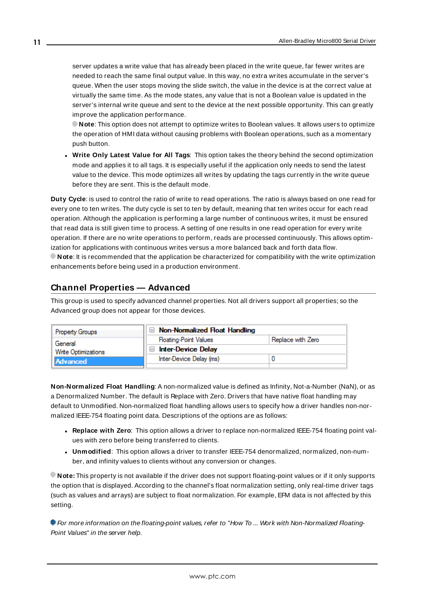server updates a write value that has already been placed in the write queue, far fewer writes are needed to reach the same final output value. In this way, no extra writes accumulate in the server's queue. When the user stops moving the slide switch, the value in the device is at the correct value at virtually the same time. As the mode states, any value that is not a Boolean value is updated in the server's internal write queue and sent to the device at the next possible opportunity. This can greatly improve the application performance.

**Note**: This option does not attempt to optimize writes to Boolean values. It allows users to optimize the operation of HMI data without causing problems with Boolean operations, such as a momentary push button.

<sup>l</sup> **Write Only Latest Value for All Tags**: This option takes the theory behind the second optimization mode and applies it to all tags. It is especially useful if the application only needs to send the latest value to the device. This mode optimizes all writes by updating the tags currently in the write queue before they are sent. This is the default mode.

**Duty Cycle**: is used to control the ratio of write to read operations. The ratio is always based on one read for every one to ten writes. The duty cycle is set to ten by default, meaning that ten writes occur for each read operation. Although the application is performing a large number of continuous writes, it must be ensured that read data is still given time to process. A setting of one results in one read operation for every write operation. If there are no write operations to perform, reads are processed continuously. This allows optimization for applications with continuous writes versus a more balanced back and forth data flow. **Note**: It is recommended that the application be characterized for compatibility with the write optimization enhancements before being used in a production environment.

# <span id="page-10-0"></span>**Channel Properties — Advanced**

This group is used to specify advanced channel properties. Not all drivers support all properties; so the Advanced group does not appear for those devices.

| <b>Property Groups</b>     | $\Box$ Non-Normalized Float Handling |                   |  |
|----------------------------|--------------------------------------|-------------------|--|
| General                    | <b>Floating-Point Values</b>         | Replace with Zero |  |
| <b>Write Optimizations</b> | <b>Inter-Device Delay</b>            |                   |  |
| Advanced                   | Inter-Device Delay (ms)              |                   |  |
|                            |                                      |                   |  |

**Non-Normalized Float Handling**: A non-normalized value is defined as Infinity, Not-a-Number (NaN), or as a Denormalized Number. The default is Replace with Zero. Drivers that have native float handling may default to Unmodified. Non-normalized float handling allows users to specify how a driver handles non-normalized IEEE-754 floating point data. Descriptions of the options are as follows:

- <sup>l</sup> **Replace with Zero**: This option allows a driver to replace non-normalized IEEE-754 floating point values with zero before being transferred to clients.
- <sup>l</sup> **Unmodified**: This option allows a driver to transfer IEEE-754 denormalized, normalized, non-number, and infinity values to clients without any conversion or changes.

**Note:** This property is not available if the driver does not support floating-point values or if it only supports the option that is displayed. According to the channel's float normalization setting, only real-time driver tags (such as values and arrays) are subject to float normalization. For example, EFM data is not affected by this setting.

For more information on the floating-point values, refer to "How To ... Work with Non-Normalized Floating-Point Values" in the server help.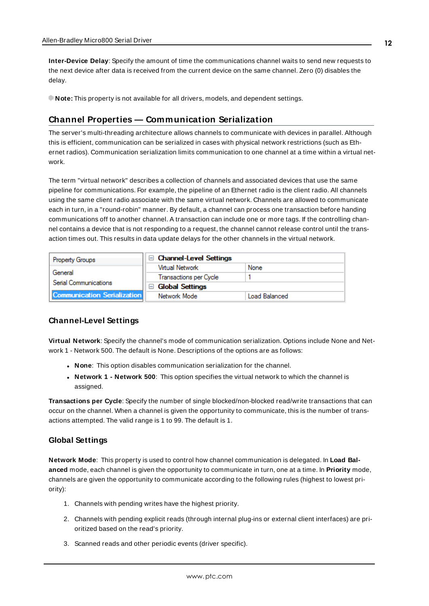**Inter-Device Delay**: Specify the amount of time the communications channel waits to send new requests to the next device after data is received from the current device on the same channel. Zero (0) disables the delay.

<span id="page-11-0"></span>**Note:** This property is not available for all drivers, models, and dependent settings.

## **Channel Properties — Communication Serialization**

The server's multi-threading architecture allows channels to communicate with devices in parallel. Although this is efficient, communication can be serialized in cases with physical network restrictions (such as Ethernet radios). Communication serialization limits communication to one channel at a time within a virtual network.

The term "virtual network" describes a collection of channels and associated devices that use the same pipeline for communications. For example, the pipeline of an Ethernet radio is the client radio. All channels using the same client radio associate with the same virtual network. Channels are allowed to communicate each in turn, in a "round-robin" manner. By default, a channel can process one transaction before handing communications off to another channel. A transaction can include one or more tags. If the controlling channel contains a device that is not responding to a request, the channel cannot release control until the transaction times out. This results in data update delays for the other channels in the virtual network.

| <b>Property Groups</b>             | $\Box$ Channel-Level Settings    |               |
|------------------------------------|----------------------------------|---------------|
| General                            | Virtual Network                  | None          |
|                                    | Transactions per Cycle           |               |
| Serial Communications              | <b>Global Settings</b><br>$\Box$ |               |
| <b>Communication Serialization</b> | Network Mode                     | Load Balanced |

### **Channel-Level Settings**

**Virtual Network**: Specify the channel's mode of communication serialization. Options include None and Network 1 - Network 500. The default is None. Descriptions of the options are as follows:

- **None:** This option disables communication serialization for the channel.
- <sup>l</sup> **Network 1 - Network 500**: This option specifies the virtual network to which the channel is assigned.

**Transactions per Cycle**: Specify the number of single blocked/non-blocked read/write transactions that can occur on the channel. When a channel is given the opportunity to communicate, this is the number of transactions attempted. The valid range is 1 to 99. The default is 1.

#### **Global Settings**

**Network Mode**: This property is used to control how channel communication is delegated. In **Load Balanced** mode, each channel is given the opportunity to communicate in turn, one at a time. In **Priority** mode, channels are given the opportunity to communicate according to the following rules (highest to lowest priority):

- 1. Channels with pending writes have the highest priority.
- 2. Channels with pending explicit reads (through internal plug-ins or external client interfaces) are prioritized based on the read's priority.
- 3. Scanned reads and other periodic events (driver specific).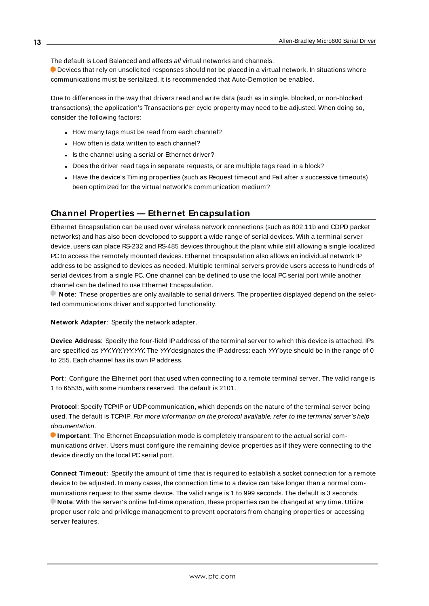The default is Load Balanced and affects all virtual networks and channels.

**Devices that rely on unsolicited responses should not be placed in a virtual network. In situations where** communications must be serialized, it is recommended that Auto-Demotion be enabled.

Due to differences in the way that drivers read and write data (such as in single, blocked, or non-blocked transactions); the application's Transactions per cycle property may need to be adjusted. When doing so, consider the following factors:

- How many tags must be read from each channel?
- How often is data written to each channel?
- Is the channel using a serial or Ethernet driver?
- Does the driver read tags in separate requests, or are multiple tags read in a block?
- Have the device's Timing properties (such as Request timeout and Fail after x successive timeouts) been optimized for the virtual network's communication medium?

# <span id="page-12-0"></span>**Channel Properties — Ethernet Encapsulation**

Ethernet Encapsulation can be used over wireless network connections (such as 802.11b and CDPD packet networks) and has also been developed to support a wide range of serial devices. With a terminal server device, users can place RS-232 and RS-485 devices throughout the plant while still allowing a single localized PC to access the remotely mounted devices. Ethernet Encapsulation also allows an individual network IP address to be assigned to devices as needed. Multiple terminal servers provide users access to hundreds of serial devices from a single PC. One channel can be defined to use the local PC serial port while another channel can be defined to use Ethernet Encapsulation.

**Note**: These properties are only available to serial drivers. The properties displayed depend on the selected communications driver and supported functionality.

**Network Adapter**: Specify the network adapter.

**Device Address**: Specify the four-field IPaddress of the terminal server to which this device is attached. IPs are specified as YYY.YYY.YYY. The YYYdesignates the IP address: each YYYbyte should be in the range of 0 to 255. Each channel has its own IPaddress.

**Port**: Configure the Ethernet port that used when connecting to a remote terminal server. The valid range is 1 to 65535, with some numbers reserved. The default is 2101.

Protocol: Specify TCP/IP or UDP communication, which depends on the nature of the terminal server being used. The default is TCP/IP. For more information on the protocol available, refer to the terminal server's help documentation.

**Important**: The Ethernet Encapsulation mode is completely transparent to the actual serial communications driver. Users must configure the remaining device properties as if they were connecting to the device directly on the local PC serial port.

**Connect Timeout**: Specify the amount of time that is required to establish a socket connection for a remote device to be adjusted. In many cases, the connection time to a device can take longer than a normal communications request to that same device. The valid range is 1 to 999 seconds. The default is 3 seconds. **Note**: With the server's online full-time operation, these properties can be changed at any time. Utilize proper user role and privilege management to prevent operators from changing properties or accessing server features.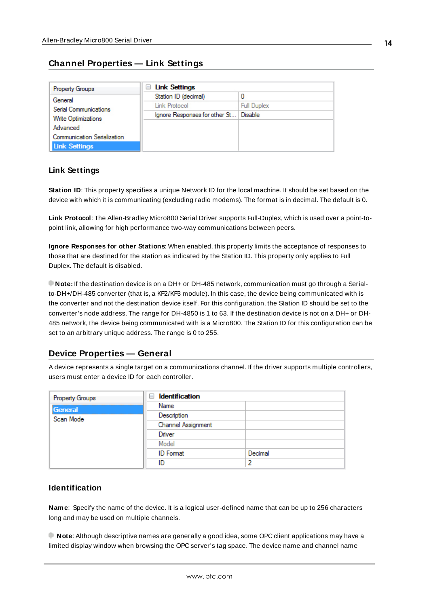# <span id="page-13-0"></span>**Channel Properties — Link Settings**

| Property Groups                    | <b>Link Settings</b><br>ь     |                    |
|------------------------------------|-------------------------------|--------------------|
| General                            | Station ID (decimal)          | 0                  |
| Serial Communications              | Link Protocol                 | <b>Full Duplex</b> |
| Write Optimizations                | Ignore Responses for other St | Disable            |
| Advanced                           |                               |                    |
| <b>Communication Serialization</b> |                               |                    |
| <b>Link Settings</b>               |                               |                    |

# <span id="page-13-5"></span>**Link Settings**

**Station ID**: This property specifies a unique Network ID for the local machine. It should be set based on the device with which it is communicating (excluding radio modems). The format is in decimal. The default is 0.

<span id="page-13-2"></span>**Link Protocol**: The Allen-Bradley Micro800 Serial Driver supports Full-Duplex, which is used over a point-topoint link, allowing for high performance two-way communications between peers.

<span id="page-13-4"></span>**Ignore Responses for other Stations**: When enabled, this property limits the acceptance of responses to those that are destined for the station as indicated by the Station ID. This property only applies to Full Duplex. The default is disabled.

**Note:** If the destination device is on a DH+ or DH-485 network, communication must go through a Serialto-DH+/DH-485 converter (that is, a KF2/KF3 module). In this case, the device being communicated with is the converter and not the destination device itself. For this configuration, the Station ID should be set to the converter's node address. The range for DH-4850 is 1 to 63. If the destination device is not on a DH+ or DH-485 network, the device being communicated with is a Micro800. The Station ID for this configuration can be set to an arbitrary unique address. The range is 0 to 255.

# <span id="page-13-1"></span>**Device Properties — General**

A device represents a single target on a communications channel. If the driver supports multiple controllers, users must enter a device ID for each controller.

| <b>Property Groups</b> | $\Box$ Identification |         |
|------------------------|-----------------------|---------|
| General                | Name                  |         |
| Scan Mode              | Description           |         |
|                        | Channel Assignment    |         |
|                        | Driver                |         |
|                        | Model                 |         |
|                        | <b>ID</b> Format      | Decimal |
|                        | ID                    | י       |

### **Identification**

<span id="page-13-3"></span>**Name**: Specify the name of the device. It is a logical user-defined name that can be up to 256 characters long and may be used on multiple channels.

**Note**: Although descriptive names are generally a good idea, some OPC client applications may have a limited display window when browsing the OPC server's tag space. The device name and channel name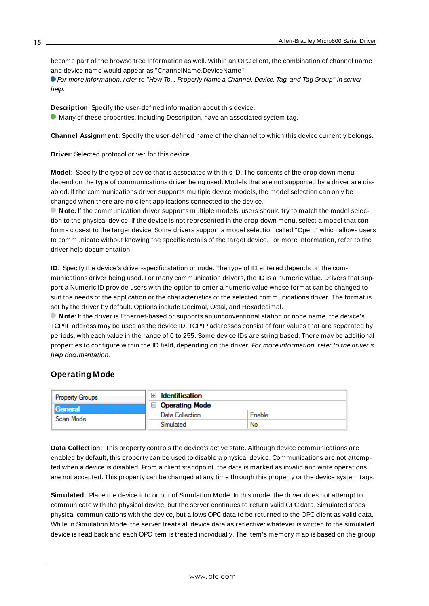become part of the browse tree information as well. Within an OPC client, the combination of channel name and device name would appear as "ChannelName.DeviceName".

For more information, refer to "How To... Properly Name a Channel, Device, Tag, and Tag Group" in server help.

**Description**: Specify the user-defined information about this device.

<span id="page-14-1"></span> $\bullet$  Many of these properties, including Description, have an associated system tag.

<span id="page-14-3"></span>**Channel Assignment**: Specify the user-defined name of the channel to which this device currently belongs.

<span id="page-14-5"></span>**Driver**: Selected protocol driver for this device.

**Model**: Specify the type of device that is associated with this ID. The contents of the drop-down menu depend on the type of communications driver being used. Models that are not supported by a driver are disabled. If the communications driver supports multiple device models, the model selection can only be changed when there are no client applications connected to the device.

**Note:** If the communication driver supports multiple models, users should try to match the model selection to the physical device. If the device is not represented in the drop-down menu, select a model that conforms closest to the target device. Some drivers support a model selection called "Open," which allows users to communicate without knowing the specific details of the target device. For more information, refer to the driver help documentation.

<span id="page-14-4"></span>**ID**: Specify the device's driver-specific station or node. The type of ID entered depends on the communications driver being used. For many communication drivers, the ID is a numeric value. Drivers that support a Numeric ID provide users with the option to enter a numeric value whose format can be changed to suit the needs of the application or the characteristics of the selected communications driver. The format is set by the driver by default. Options include Decimal, Octal, and Hexadecimal.

**Note**: If the driver is Ethernet-based or supports an unconventional station or node name, the device's TCP/IPaddress may be used as the device ID. TCP/IPaddresses consist of four values that are separated by periods, with each value in the range of 0 to 255. Some device IDs are string based. There may be additional properties to configure within the ID field, depending on the driver. For more information, refer to the driver's help documentation.

# <span id="page-14-0"></span>**Operating Mode**

| <b>Property Groups</b> | <b>Identification</b> |        |
|------------------------|-----------------------|--------|
| General<br>Scan Mode   | Operating Mode        |        |
|                        | Data Collection       | Enable |
|                        | Simulated             | No     |

<span id="page-14-2"></span>**Data Collection**: This property controls the device's active state. Although device communications are enabled by default, this property can be used to disable a physical device. Communications are not attempted when a device is disabled. From a client standpoint, the data is marked as invalid and write operations are not accepted. This property can be changed at any time through this property or the device system tags.

**Simulated**: Place the device into or out of Simulation Mode. In this mode, the driver does not attempt to communicate with the physical device, but the server continues to return valid OPC data. Simulated stops physical communications with the device, but allows OPC data to be returned to the OPC client as valid data. While in Simulation Mode, the server treats all device data as reflective: whatever is written to the simulated device is read back and each OPC item is treated individually. The item's memory map is based on the group

**15**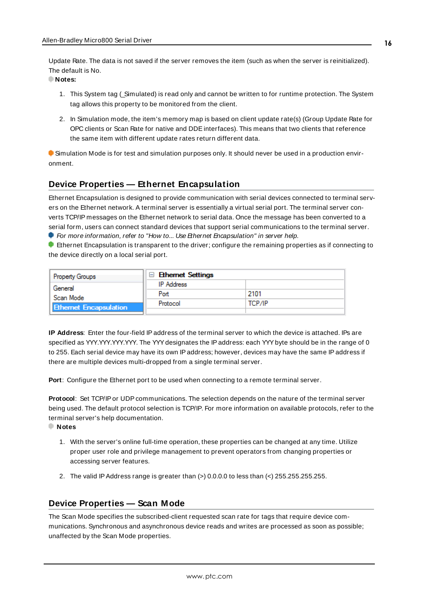<span id="page-15-5"></span>Update Rate. The data is not saved if the server removes the item (such as when the server is reinitialized). The default is No.

**Notes:**

- 1. This System tag (\_Simulated) is read only and cannot be written to for runtime protection. The System tag allows this property to be monitored from the client.
- 2. In Simulation mode, the item's memory map is based on client update rate(s) (Group Update Rate for OPC clients or Scan Rate for native and DDEinterfaces). This means that two clients that reference the same item with different update rates return different data.

 Simulation Mode is for test and simulation purposes only. It should never be used in a production environment.

# <span id="page-15-0"></span>**Device Properties — Ethernet Encapsulation**

Ethernet Encapsulation is designed to provide communication with serial devices connected to terminal servers on the Ethernet network. A terminal server is essentially a virtual serial port. The terminal server converts TCP/IP messages on the Ethernet network to serial data. Once the message has been converted to a serial form, users can connect standard devices that support serial communications to the terminal server. For more information, refer to "How to... Use Ethernet Encapsulation" in server help.

**Ethernet Encapsulation is transparent to the driver; configure the remaining properties as if connecting to** the device directly on a local serial port.

| <b>Property Groups</b>        | $\Box$ Ethernet Settings |        |  |
|-------------------------------|--------------------------|--------|--|
| General                       | <b>IP</b> Address        |        |  |
| Scan Mode                     | Port                     | 2101   |  |
| <b>Ethernet Encapsulation</b> | Protocol                 | ТСР/ІР |  |
|                               |                          |        |  |

<span id="page-15-2"></span>**IP Address**: Enter the four-field IPaddress of the terminal server to which the device is attached. IPs are specified as YYY.YYY.YYY.YYY. The YYY designates the IP address: each YYY byte should be in the range of 0 to 255. Each serial device may have its own IPaddress; however, devices may have the same IPaddress if there are multiple devices multi-dropped from a single terminal server.

<span id="page-15-4"></span><span id="page-15-3"></span>Port: Configure the Ethernet port to be used when connecting to a remote terminal server.

Protocol: Set TCP/IP or UDP communications. The selection depends on the nature of the terminal server being used. The default protocol selection is TCP/IP. For more information on available protocols, refer to the terminal server's help documentation.

**Notes**

- 1. With the server's online full-time operation, these properties can be changed at any time. Utilize proper user role and privilege management to prevent operators from changing properties or accessing server features.
- 2. The valid IP Address range is greater than  $(>) 0.0.0.0$  to less than  $(>) 255.255.255.255$ .

# <span id="page-15-1"></span>**Device Properties — Scan Mode**

The Scan Mode specifies the subscribed-client requested scan rate for tags that require device communications. Synchronous and asynchronous device reads and writes are processed as soon as possible; unaffected by the Scan Mode properties.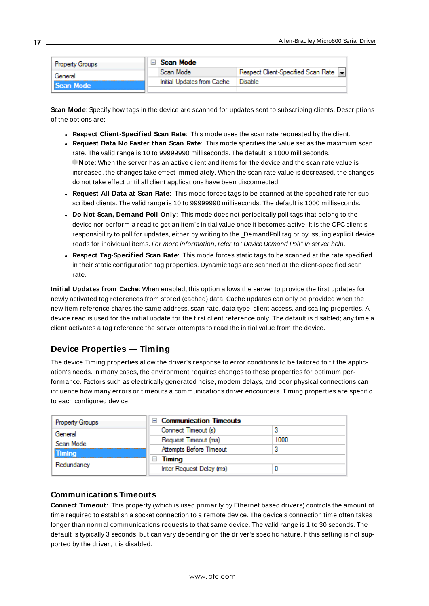| <b>Property Groups</b> | Scan Mode |                            |                                      |
|------------------------|-----------|----------------------------|--------------------------------------|
| General                |           | Scan Mode                  | Respect Client-Specified Scan Rate v |
| <b>Scan Mode</b>       |           | Initial Updates from Cache | Disable                              |
|                        |           |                            |                                      |

<span id="page-16-6"></span>**Scan Mode**: Specify how tags in the device are scanned for updates sent to subscribing clients. Descriptions of the options are:

- <sup>l</sup> **Respect Client-Specified Scan Rate**: This mode uses the scan rate requested by the client.
- <sup>l</sup> **Request Data No Faster than Scan Rate**: This mode specifies the value set as the maximum scan rate. The valid range is 10 to 99999990 milliseconds. The default is 1000 milliseconds. **Note**: When the server has an active client and items for the device and the scan rate value is increased, the changes take effect immediately. When the scan rate value is decreased, the changes do not take effect until all client applications have been disconnected.
- <span id="page-16-3"></span><sup>l</sup> **Request All Data at Scan Rate**: This mode forces tags to be scanned at the specified rate for subscribed clients. The valid range is 10 to 99999990 milliseconds. The default is 1000 milliseconds.
- <sup>l</sup> **Do Not Scan, Demand Poll Only**: This mode does not periodically poll tags that belong to the device nor perform a read to get an item's initial value once it becomes active. It is the OPC client's responsibility to poll for updates, either by writing to the \_DemandPoll tag or by issuing explicit device reads for individual items. For more information, refer to "Device Demand Poll" in server help.
- <span id="page-16-5"></span><sup>l</sup> **Respect Tag-Specified Scan Rate**: This mode forces static tags to be scanned at the rate specified in their static configuration tag properties. Dynamic tags are scanned at the client-specified scan rate.

<span id="page-16-4"></span>**Initial Updates from Cache**: When enabled, this option allows the server to provide the first updates for newly activated tag references from stored (cached) data. Cache updates can only be provided when the new item reference shares the same address, scan rate, data type, client access, and scaling properties. A device read is used for the initial update for the first client reference only. The default is disabled; any time a client activates a tag reference the server attempts to read the initial value from the device.

# <span id="page-16-1"></span><span id="page-16-0"></span>**Device Properties — Timing**

The device Timing properties allow the driver's response to error conditions to be tailored to fit the application's needs. In many cases, the environment requires changes to these properties for optimum performance. Factors such as electrically generated noise, modem delays, and poor physical connections can influence how many errors or timeouts a communications driver encounters. Timing properties are specific to each configured device.

| <b>Property Groups</b>                              | $\Box$ Communication Timeouts |      |
|-----------------------------------------------------|-------------------------------|------|
| General<br>Scan Mode<br><b>Timing</b><br>Redundancy | Connect Timeout (s)           |      |
|                                                     | Request Timeout (ms)          | 1000 |
|                                                     | Attempts Before Timeout       |      |
|                                                     | Timing<br>н                   |      |
|                                                     | Inter-Request Delay (ms)      |      |

### <span id="page-16-2"></span>**Communications Timeouts**

**Connect Timeout**: This property (which is used primarily by Ethernet based drivers) controls the amount of time required to establish a socket connection to a remote device. The device's connection time often takes longer than normal communications requests to that same device. The valid range is 1 to 30 seconds. The default is typically 3 seconds, but can vary depending on the driver's specific nature. If this setting is not supported by the driver, it is disabled.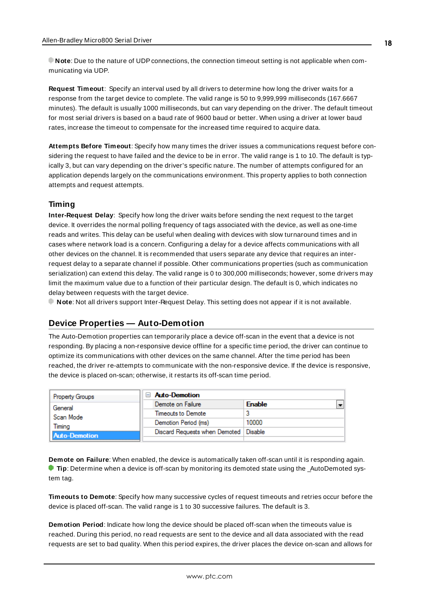**Note**: Due to the nature of UDPconnections, the connection timeout setting is not applicable when communicating via UDP.

<span id="page-17-4"></span>**Request Timeout**: Specify an interval used by all drivers to determine how long the driver waits for a response from the target device to complete. The valid range is 50 to 9,999,999 milliseconds (167.6667 minutes). The default is usually 1000 milliseconds, but can vary depending on the driver. The default timeout for most serial drivers is based on a baud rate of 9600 baud or better. When using a driver at lower baud rates, increase the timeout to compensate for the increased time required to acquire data.

<span id="page-17-1"></span>**Attempts Before Timeout**: Specify how many times the driver issues a communications request before considering the request to have failed and the device to be in error. The valid range is 1 to 10. The default is typically 3, but can vary depending on the driver's specific nature. The number of attempts configured for an application depends largely on the communications environment. This property applies to both connection attempts and request attempts.

### <span id="page-17-3"></span>**Timing**

**Inter-Request Delay**: Specify how long the driver waits before sending the next request to the target device. It overrides the normal polling frequency of tags associated with the device, as well as one-time reads and writes. This delay can be useful when dealing with devices with slow turnaround times and in cases where network load is a concern. Configuring a delay for a device affects communications with all other devices on the channel. It is recommended that users separate any device that requires an interrequest delay to a separate channel if possible. Other communications properties (such as communication serialization) can extend this delay. The valid range is 0 to 300,000 milliseconds; however, some drivers may limit the maximum value due to a function of their particular design. The default is 0, which indicates no delay between requests with the target device.

<span id="page-17-0"></span>**Note**: Not all drivers support Inter-Request Delay. This setting does not appear if it is not available.

# **Device Properties — Auto-Demotion**

The Auto-Demotion properties can temporarily place a device off-scan in the event that a device is not responding. By placing a non-responsive device offline for a specific time period, the driver can continue to optimize its communications with other devices on the same channel. After the time period has been reached, the driver re-attempts to communicate with the non-responsive device. If the device is responsive, the device is placed on-scan; otherwise, it restarts its off-scan time period.

| <b>Property Groups</b>                      | $\Box$ Auto-Demotion                    |               |                          |
|---------------------------------------------|-----------------------------------------|---------------|--------------------------|
| General                                     | Demote on Failure                       | <b>Enable</b> | $\overline{\phantom{0}}$ |
| Scan Mode<br>Timina<br><b>Auto-Demotion</b> | Timeouts to Demote                      |               |                          |
|                                             | Demotion Period (ms)                    | 10000         |                          |
|                                             | Discard Requests when Demoted   Disable |               |                          |
|                                             |                                         |               |                          |

<span id="page-17-2"></span>**Demote on Failure**: When enabled, the device is automatically taken off-scan until it is responding again. **Tip**: Determine when a device is off-scan by monitoring its demoted state using the \_AutoDemoted system tag.

<span id="page-17-5"></span>**Timeouts to Demote**: Specify how many successive cycles of request timeouts and retries occur before the device is placed off-scan. The valid range is 1 to 30 successive failures. The default is 3.

**Demotion Period**: Indicate how long the device should be placed off-scan when the timeouts value is reached. During this period, no read requests are sent to the device and all data associated with the read requests are set to bad quality. When this period expires, the driver places the device on-scan and allows for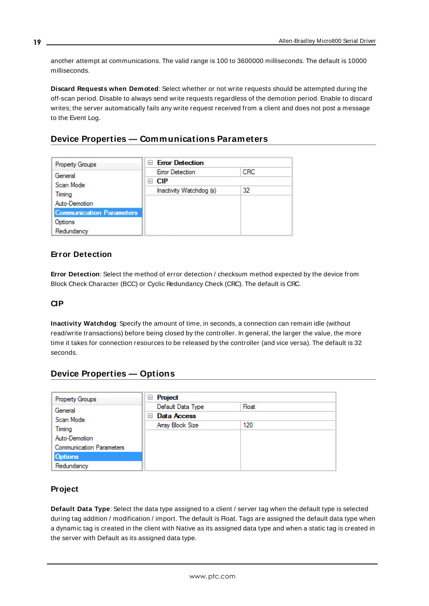<span id="page-18-3"></span>another attempt at communications. The valid range is 100 to 3600000 milliseconds. The default is 10000 milliseconds.

<span id="page-18-4"></span>**Discard Requests when Demoted**: Select whether or not write requests should be attempted during the off-scan period. Disable to always send write requests regardless of the demotion period. Enable to discard writes; the server automatically fails any write request received from a client and does not post a message to the Event Log.

# <span id="page-18-0"></span>**Device Properties — Communications Parameters**

| <b>Property Groups</b>          | <b>Error Detection</b><br>$\blacksquare$ |     |
|---------------------------------|------------------------------------------|-----|
| General                         | <b>Error Detection</b>                   | CRC |
| Scan Mode                       | ⊟ CIP                                    |     |
| Timina                          | Inactivity Watchdog (s)                  | 32  |
|                                 |                                          |     |
| Auto-Demotion                   |                                          |     |
| <b>Communication Parameters</b> |                                          |     |
| Options                         |                                          |     |
| Redundancy                      |                                          |     |

# <span id="page-18-5"></span>**Error Detection**

**Error Detection**: Select the method of error detection / checksum method expected by the device from Block Check Character (BCC) or Cyclic Redundancy Check (CRC). The default is CRC.

# <span id="page-18-6"></span><span id="page-18-2"></span>**CIP**

**Inactivity Watchdog**: Specify the amount of time, in seconds, a connection can remain idle (without read/write transactions) before being closed by the controller. In general, the larger the value, the more time it takes for connection resources to be released by the controller (and vice versa). The default is 32 seconds.

# <span id="page-18-1"></span>**Device Properties — Options**

| <b>Property Groups</b>          | Project<br>ь       |       |
|---------------------------------|--------------------|-------|
| General                         | Default Data Type  | Float |
| Scan Mode                       | Data Access<br>$-$ |       |
| Timina                          | Array Block Size   | 120   |
| Auto-Demotion                   |                    |       |
| <b>Communication Parameters</b> |                    |       |
| <b>Options</b>                  |                    |       |
| Redundancy                      |                    |       |

# <span id="page-18-7"></span>**Project**

**Default Data Type**: Select the data type assigned to a client / server tag when the default type is selected during tag addition / modification / import. The default is Float. Tags are assigned the default data type when a dynamic tag is created in the client with Native as its assigned data type and when a static tag is created in the server with Default as its assigned data type.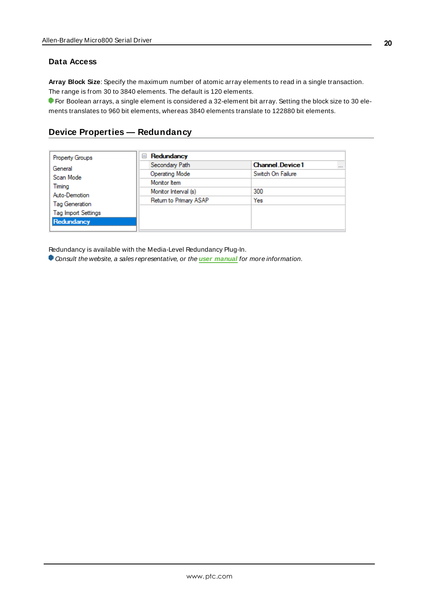### **Data Access**

<span id="page-19-1"></span>**Array Block Size**: Specify the maximum number of atomic array elements to read in a single transaction. The range is from 30 to 3840 elements. The default is 120 elements.

For Boolean arrays, a single element is considered a 32-element bit array. Setting the block size to 30 elements translates to 960 bit elements, whereas 3840 elements translate to 122880 bit elements.

# <span id="page-19-0"></span>**Device Properties — Redundancy**

| <b>Property Groups</b>     | Redundancy<br>$=$      |                                    |
|----------------------------|------------------------|------------------------------------|
| General                    | Secondary Path         | <b>Channel Device1</b><br>$\cdots$ |
| Scan Mode                  | <b>Operating Mode</b>  | Switch On Failure                  |
|                            | Monitor Item           |                                    |
| Timing<br>Auto-Demotion    | Monitor Interval (s)   | 300                                |
|                            | Return to Primary ASAP | Yes                                |
| Tag Generation             |                        |                                    |
| <b>Tag Import Settings</b> |                        |                                    |
| Redundancy                 |                        |                                    |

Redundancy is available with the Media-Level Redundancy Plug-In.

Consult the website, a sales representative, or the **user [manual](https://www.kepware.com/getattachment/35461efd-b53a-4219-a109-a89fad20b230/media-level-redundancy-manual.pdf)** for more information.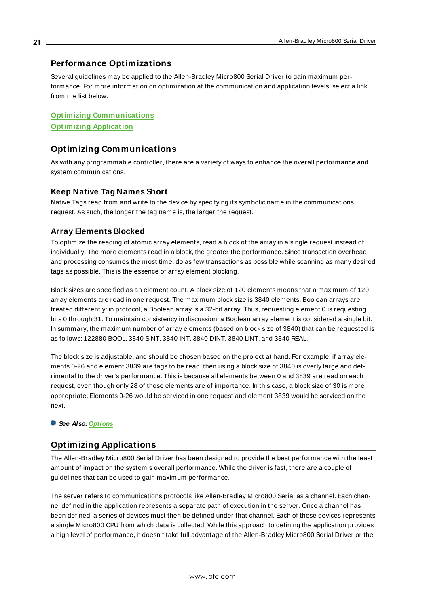# <span id="page-20-0"></span>**Performance Optimizations**

Several guidelines may be applied to the Allen-Bradley Micro800 Serial Driver to gain maximum performance. For more information on optimization at the communication and application levels, select a link from the list below.

**Optimizing [Communications](#page-20-1) [Optimizing](#page-20-2) Application**

# <span id="page-20-1"></span>**Optimizing Communications**

As with any programmable controller, there are a variety of ways to enhance the overall performance and system communications.

### <span id="page-20-4"></span>**Keep Native Tag Names Short**

Native Tags read from and write to the device by specifying its symbolic name in the communications request. As such, the longer the tag name is, the larger the request.

## <span id="page-20-3"></span>**Array Elements Blocked**

To optimize the reading of atomic array elements, read a block of the array in a single request instead of individually. The more elements read in a block, the greater the performance. Since transaction overhead and processing consumes the most time, do as few transactions as possible while scanning as many desired tags as possible. This is the essence of array element blocking.

Block sizes are specified as an element count. A block size of 120 elements means that a maximum of 120 array elements are read in one request. The maximum block size is 3840 elements. Boolean arrays are treated differently: in protocol, a Boolean array is a 32-bit array. Thus, requesting element 0 is requesting bits 0 through 31. To maintain consistency in discussion, a Boolean array element is considered a single bit. In summary, the maximum number of array elements (based on block size of 3840) that can be requested is as follows: 122880 BOOL, 3840 SINT, 3840 INT, 3840 DINT, 3840 LINT, and 3840 REAL.

The block size is adjustable, and should be chosen based on the project at hand. For example, if array elements 0-26 and element 3839 are tags to be read, then using a block size of 3840 is overly large and detrimental to the driver's performance. This is because all elements between 0 and 3839 are read on each request, even though only 28 of those elements are of importance. In this case, a block size of 30 is more appropriate. Elements 0-26 would be serviced in one request and element 3839 would be serviced on the next.

### <span id="page-20-2"></span>**See Also: [Options](#page-18-1)**

# **Optimizing Applications**

The Allen-Bradley Micro800 Serial Driver has been designed to provide the best performance with the least amount of impact on the system's overall performance. While the driver is fast, there are a couple of guidelines that can be used to gain maximum performance.

The server refers to communications protocols like Allen-Bradley Micro800 Serial as a channel. Each channel defined in the application represents a separate path of execution in the server. Once a channel has been defined, a series of devices must then be defined under that channel. Each of these devices represents a single Micro800 CPU from which data is collected. While this approach to defining the application provides a high level of performance, it doesn't take full advantage of the Allen-Bradley Micro800 Serial Driver or the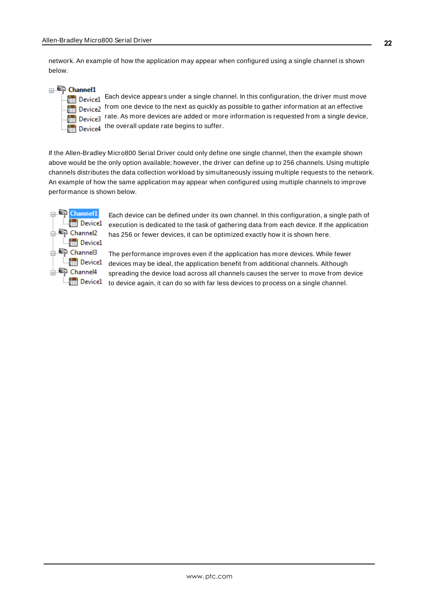network. An example of how the application may appear when configured using a single channel is shown below.

**□ Channel1** 

| <b>]     Device</b> |
|---------------------|
| <b>III</b> Device   |
| <b>Till Device</b>  |
| <b>Till Device</b>  |

 $\frac{1}{21}$  Each device appears under a single channel. In this configuration, the driver must move  $\Omega$  from one device to the next as quickly as possible to gather information at an effective  $_2$  rate. As more devices are added or more information is requested from a single device,  $\frac{1}{4}$  the overall update rate begins to suffer.

If the Allen-Bradley Micro800 Serial Driver could only define one single channel, then the example shown above would be the only option available; however, the driver can define up to 256 channels. Using multiple channels distributes the data collection workload by simultaneously issuing multiple requests to the network. An example of how the same application may appear when configured using multiple channels to improve performance is shown below.



Each device can be defined under its own channel. In this configuration, a single path of execution is dedicated to the task of gathering data from each device. If the application has 256 or fewer devices, it can be optimized exactly how it is shown here.

The performance improves even if the application has more devices. While fewer **device1** devices may be ideal, the application benefit from additional channels. Although spreading the device load across all channels causes the server to move from device  $\mathbb{L}$  Device  $1$  to device again, it can do so with far less devices to process on a single channel.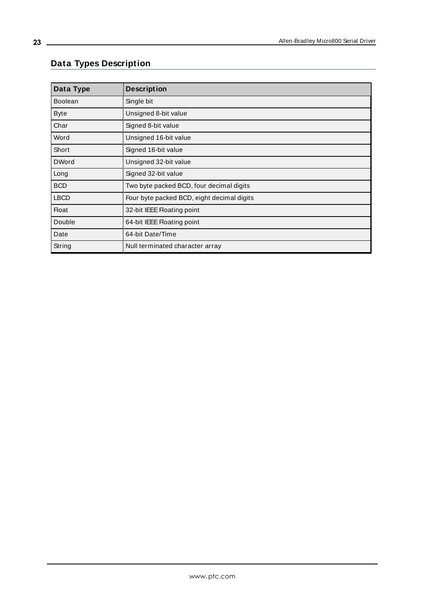# <span id="page-22-0"></span>**Data Types Description**

<span id="page-22-13"></span><span id="page-22-12"></span><span id="page-22-11"></span><span id="page-22-10"></span><span id="page-22-9"></span><span id="page-22-8"></span><span id="page-22-7"></span><span id="page-22-6"></span><span id="page-22-5"></span><span id="page-22-4"></span><span id="page-22-3"></span><span id="page-22-2"></span><span id="page-22-1"></span>

| Data Type      | <b>Description</b>                         |
|----------------|--------------------------------------------|
| <b>Boolean</b> | Single bit                                 |
| <b>Byte</b>    | Unsigned 8-bit value                       |
| Char           | Signed 8-bit value                         |
| Word           | Unsigned 16-bit value                      |
| Short          | Signed 16-bit value                        |
| <b>DWord</b>   | Unsigned 32-bit value                      |
| Long           | Signed 32-bit value                        |
| <b>BCD</b>     | Two byte packed BCD, four decimal digits   |
| <b>LBCD</b>    | Four byte packed BCD, eight decimal digits |
| <b>Float</b>   | 32-bit IEEE Floating point                 |
| Double         | 64-bit IEEE Floating point                 |
| Date           | 64-bit Date/Time                           |
| String         | Null terminated character array            |

<u> 1980 - Johann Barn, mars ar breithinn ar chomhair an t-Alban ann an t-Alban ann an t-Alban ann an t-Alban an</u>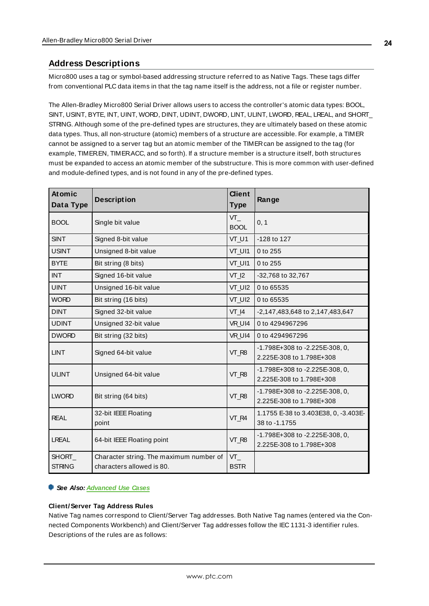# <span id="page-23-0"></span>**Address Descriptions**

Micro800 uses a tag or symbol-based addressing structure referred to as Native Tags. These tags differ from conventional PLC data items in that the tag name itself is the address, not a file or register number.

The Allen-Bradley Micro800 Serial Driver allows users to access the controller's atomic data types: BOOL, SINT, USINT, BYTE, INT, UINT, WORD, DINT, UDINT, DWORD, LINT, ULINT, LWORD, REAL, LREAL, and SHORT\_ STRING. Although some of the pre-defined types are structures, they are ultimately based on these atomic data types. Thus, all non-structure (atomic) members of a structure are accessible. For example, a TIMER cannot be assigned to a server tag but an atomic member of the TIMERcan be assigned to the tag (for example, TIMER.EN, TIMER.ACC, and so forth). If a structure member is a structure itself, both structures must be expanded to access an atomic member of the substructure. This is more common with user-defined and module-defined types, and is not found in any of the pre-defined types.

| <b>At omic</b><br>Data Type | <b>Description</b>                                                   | <b>Client</b><br><b>Type</b> | Range                                                      |
|-----------------------------|----------------------------------------------------------------------|------------------------------|------------------------------------------------------------|
| <b>BOOL</b>                 | Single bit value                                                     | $VT_$<br><b>BOOL</b>         | 0, 1                                                       |
| <b>SINT</b>                 | Signed 8-bit value                                                   | VT_U1                        | -128 to 127                                                |
| <b>USINT</b>                | Unsigned 8-bit value                                                 | VT_UI1                       | 0 to 255                                                   |
| <b>BYTE</b>                 | Bit string (8 bits)                                                  | VT_UI1                       | 0 to 255                                                   |
| <b>INT</b>                  | Signed 16-bit value                                                  | $VT_12$                      | -32,768 to 32,767                                          |
| <b>UINT</b>                 | Unsigned 16-bit value                                                | VT_UI2                       | 0 to 65535                                                 |
| <b>WORD</b>                 | Bit string (16 bits)                                                 | VT_UI2                       | 0 to 65535                                                 |
| <b>DINT</b>                 | Signed 32-bit value                                                  | $VT_4$                       | -2,147,483,648 to 2,147,483,647                            |
| <b>UDINT</b>                | Unsigned 32-bit value                                                | VR UI4                       | 0 to 4294967296                                            |
| <b>DWORD</b>                | Bit string (32 bits)                                                 | VR UI4                       | 0 to 4294967296                                            |
| <b>LINT</b>                 | Signed 64-bit value                                                  | VT_R8                        | -1.798E+308 to -2.225E-308, 0,<br>2.225E-308 to 1.798E+308 |
| <b>ULINT</b>                | Unsigned 64-bit value                                                | VT_R8                        | -1.798E+308 to -2.225E-308, 0,<br>2.225E-308 to 1.798E+308 |
| <b>LWORD</b>                | Bit string (64 bits)                                                 | VT_R8                        | -1.798E+308 to -2.225E-308, 0,<br>2.225E-308 to 1.798E+308 |
| <b>REAL</b>                 | 32-bit IEEE Floating<br>point                                        | VT_R4                        | 1.1755 E-38 to 3.403E38, 0, -3.403E-<br>38 to -1.1755      |
| <b>LREAL</b>                | 64-bit IEEE Floating point                                           | VT_R8                        | -1.798E+308 to -2.225E-308, 0,<br>2.225E-308 to 1.798E+308 |
| SHORT_<br><b>STRING</b>     | Character string. The maximum number of<br>characters allowed is 80. | $VT_$<br><b>BSTR</b>         |                                                            |

#### **See Also: [Advanced](#page-30-0) Use Cases**

#### **Client/Server Tag Address Rules**

Native Tag names correspond to Client/Server Tag addresses. Both Native Tag names (entered via the Connected Components Workbench) and Client/Server Tag addresses follow the IEC 1131-3 identifier rules. Descriptions of the rules are as follows: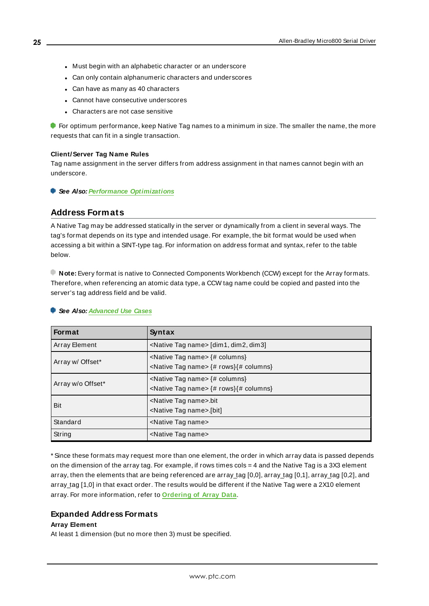- Must begin with an alphabetic character or an underscore
- Can only contain alphanumeric characters and underscores
- Can have as many as 40 characters
- Cannot have consecutive underscores
- Characters are not case sensitive

For optimum performance, keep Native Tag names to a minimum in size. The smaller the name, the more requests that can fit in a single transaction.

#### **Client/Server Tag Name Rules**

Tag name assignment in the server differs from address assignment in that names cannot begin with an underscore.

<span id="page-24-0"></span>**See Also: Performance [Optimizations](#page-20-0)**

#### **Address Formats**

A Native Tag may be addressed statically in the server or dynamically from a client in several ways. The tag's format depends on its type and intended usage. For example, the bit format would be used when accessing a bit within a SINT-type tag. For information on address format and syntax, refer to the table below.

**Note:** Every format is native to Connected Components Workbench (CCW) except for the Array formats. Therefore, when referencing an atomic data type, a CCW tag name could be copied and pasted into the server's tag address field and be valid.

#### **See Also: [Advanced](#page-30-0) Use Cases**

| Format               | Syntax                                                                                                 |  |
|----------------------|--------------------------------------------------------------------------------------------------------|--|
| <b>Array Element</b> | <native name="" tag=""> [dim1, dim2, dim3]</native>                                                    |  |
| Array w/ Offset*     | <native name="" tag=""> {# columns}<br/><native name="" tag=""> {# rows} {# columns}</native></native> |  |
| Array w/o Offset*    | <native name="" tag=""> {# columns}<br/><native name="" tag=""> {# rows} {# columns}</native></native> |  |
| Bit                  | <native name="" tag="">.bit<br/><native name="" tag="">.[bit]</native></native>                        |  |
| Standard             | <native name="" tag=""></native>                                                                       |  |
| String               | <native name="" tag=""></native>                                                                       |  |

\* Since these formats may request more than one element, the order in which array data is passed depends on the dimension of the array tag. For example, if rows times  $\cos = 4$  and the Native Tag is a 3X3 element array, then the elements that are being referenced are array\_tag [0,0], array\_tag [0,1], array\_tag [0,2], and array tag [1,0] in that exact order. The results would be different if the Native Tag were a 2X10 element array. For more information, refer to **[Ordering](#page-29-0) of Array Data**.

#### **Expanded Address Formats**

#### **Array Element**

At least 1 dimension (but no more then 3) must be specified.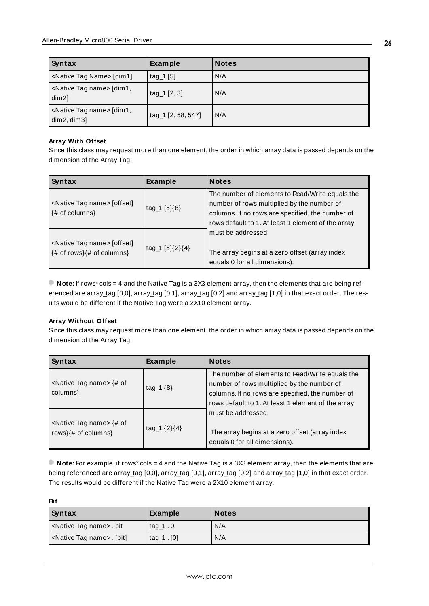| Syntax                                                         | <b>Example</b>     | <b>Notes</b> |
|----------------------------------------------------------------|--------------------|--------------|
| <native name="" tag=""> [dim1]</native>                        | $tag_1[5]$         | N/A          |
| <native name="" tag=""> [dim1,<br/><math>dim2</math>]</native> | $tag_1 [2, 3]$     | N/A          |
| <native name="" tag=""> [dim1,<br/>dim2, dim3]</native>        | tag_1 [2, 58, 547] | N/A          |

#### **Array With Offset**

Since this class may request more than one element, the order in which array data is passed depends on the dimension of the Array Tag.

| Syntax                                                                                                                     | <b>Example</b>    | <b>Notes</b>                                                                                                                                                                                            |
|----------------------------------------------------------------------------------------------------------------------------|-------------------|---------------------------------------------------------------------------------------------------------------------------------------------------------------------------------------------------------|
| <native name="" tag=""> [offset]<br/><math>\{# \text{ of columns}\}\</math></native>                                       | $tag_1 [5]\{8\}$  | The number of elements to Read/Write equals the<br>number of rows multiplied by the number of<br>columns. If no rows are specified, the number of<br>rows default to 1. At least 1 element of the array |
| <native name="" tag=""> [offset]<br/><math>\{\# \text{ of rows}\}\</math> = <math>\{# \text{ of columns}\}</math></native> | $tag_1 [5]{2}{4}$ | must be addressed.<br>The array begins at a zero offset (array index<br>equals 0 for all dimensions).                                                                                                   |

**Note:** If rows\* cols = 4 and the Native Tag is a 3X3 element array, then the elements that are being referenced are array\_tag [0,0], array\_tag [0,1], array\_tag [0,2] and array\_tag [1,0] in that exact order. The results would be different if the Native Tag were a 2X10 element array.

### **Array Without Offset**

Since this class may request more than one element, the order in which array data is passed depends on the dimension of the Array Tag.

| Syntax                                                                       | <b>Example</b>     | <b>Notes</b>                                                                                                                                                                                            |
|------------------------------------------------------------------------------|--------------------|---------------------------------------------------------------------------------------------------------------------------------------------------------------------------------------------------------|
| <native name="" tag=""> <math>\{# of</math><br/>columns}</native>            | tag $1\{8\}$       | The number of elements to Read/Write equals the<br>number of rows multiplied by the number of<br>columns. If no rows are specified, the number of<br>rows default to 1. At least 1 element of the array |
| <native name="" tag=""> <math>\{# of</math><br/>rows}{# of columns}</native> | tag_1 $\{2\}\{4\}$ | must be addressed.<br>The array begins at a zero offset (array index<br>equals 0 for all dimensions).                                                                                                   |

**Note:** For example, if rows\* cols = 4 and the Native Tag is a 3X3 element array, then the elements that are being referenced are array\_tag [0,0], array\_tag [0,1], array\_tag [0,2] and array\_tag [1,0] in that exact order. The results would be different if the Native Tag were a 2X10 element array.

| <b>Bit</b>                               |                |              |  |  |
|------------------------------------------|----------------|--------------|--|--|
| Syntax                                   | <b>Example</b> | <b>Notes</b> |  |  |
| <native name="" tag=""> . bit</native>   | tag $1.0$      | N/A          |  |  |
| <native name="" tag=""> . [bit]</native> | $tag_1. [0]$   | N/A          |  |  |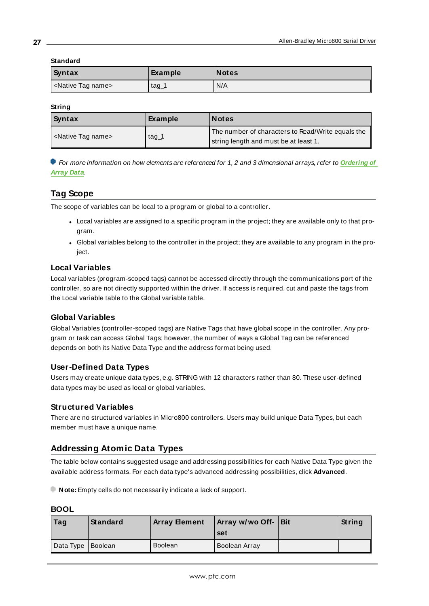#### **Standard**

| Syntax                           | <b>Example</b> | <b>Notes</b> |
|----------------------------------|----------------|--------------|
| <native name="" tag=""></native> | $\text{tag}$   | N/A          |

#### **String**

| Syntax                           | Example | Notes                                                                                      |
|----------------------------------|---------|--------------------------------------------------------------------------------------------|
| <native name="" tag=""></native> | tag_1   | The number of characters to Read/Write equals the<br>string length and must be at least 1. |

For more information on how elements are referenced for 1, 2 and 3 dimensional arrays, refer to **[Ordering](#page-29-0) of [Array](#page-29-0) Data**.

# <span id="page-26-0"></span>**Tag Scope**

The scope of variables can be local to a program or global to a controller.

- Local variables are assigned to a specific program in the project; they are available only to that program.
- Global variables belong to the controller in the project; they are available to any program in the project.

# <span id="page-26-3"></span>**Local Variables**

Local variables (program-scoped tags) cannot be accessed directly through the communications port of the controller, so are not directly supported within the driver. If access is required, cut and paste the tags from the Local variable table to the Global variable table.

# <span id="page-26-2"></span>**Global Variables**

Global Variables (controller-scoped tags) are Native Tags that have global scope in the controller. Any program or task can access Global Tags; however, the number of ways a Global Tag can be referenced depends on both its Native Data Type and the address format being used.

# <span id="page-26-5"></span>**User-Defined Data Types**

Users may create unique data types, e.g. STRING with 12 characters rather than 80. These user-defined data types may be used as local or global variables.

# <span id="page-26-4"></span>**Structured Variables**

There are no structured variables in Micro800 controllers. Users may build unique Data Types, but each member must have a unique name.

# <span id="page-26-1"></span>**Addressing Atomic Data Types**

The table below contains suggested usage and addressing possibilities for each Native Data Type given the available address formats. For each data type's advanced addressing possibilities, click **Advanced**.

**Note:** Empty cells do not necessarily indicate a lack of support.

### **BOOL**

| $\vert$ Tag         | Standard | <b>Array Bement</b> | Array w/wo Off- Bit<br>set | String |
|---------------------|----------|---------------------|----------------------------|--------|
| Data Type   Boolean |          | <b>Boolean</b>      | Boolean Array              |        |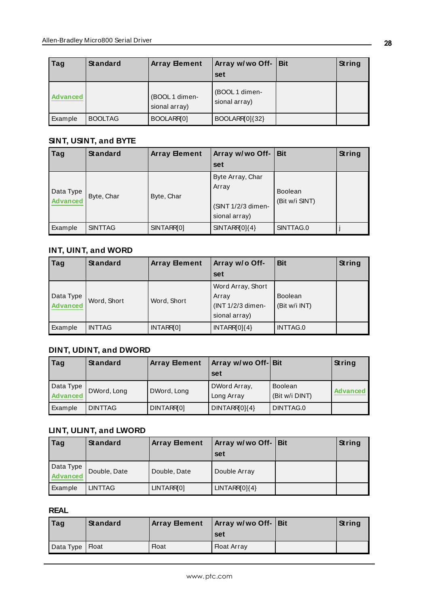| Tag      | Standard       | <b>Array Bement</b>             | Array w/wo Off- Bit<br>set      | String |
|----------|----------------|---------------------------------|---------------------------------|--------|
| Advanced |                | (BOOL 1 dimen-<br>sional array) | (BOOL 1 dimen-<br>sional array) |        |
| Example  | <b>BOOLTAG</b> | BOOLARR[0]                      | BOOLARR[0]{32}                  |        |

# **SINT, USINT, and BYTE**

| Tag                   | Standard       | <b>Array Element</b> | Array w/wo Off-                                                  | <b>Bit</b>                       | String |
|-----------------------|----------------|----------------------|------------------------------------------------------------------|----------------------------------|--------|
|                       |                |                      | set                                                              |                                  |        |
| Data Type<br>Advanced | Byte, Char     | Byte, Char           | Byte Array, Char<br>Array<br>(SINT 1/2/3 dimen-<br>sional array) | <b>Boolean</b><br>(Bit w/i SINT) |        |
| Example               | <b>SINTTAG</b> | SINTARR[0]           | $SINTARR0$ {4}                                                   | SINTTAG.0                        |        |

# **INT, UINT, and WORD**

| Tag                   | Standard      | <b>Array Bement</b> | Array w/o Off-<br>set                                            | <b>Bit</b>                      | String |
|-----------------------|---------------|---------------------|------------------------------------------------------------------|---------------------------------|--------|
| Data Type<br>Advanced | Word, Short   | Word, Short         | Word Array, Short<br>Array<br>(INT 1/2/3 dimen-<br>sional array) | <b>Boolean</b><br>(Bit w/i INT) |        |
| Example               | <b>INTTAG</b> | INTARR[0]           | $INTARR0$ {4}                                                    | INTTAG.0                        |        |

# **DINT, UDINT, and DWORD**

| Tag                   | Standard       | <b>Array Element</b> | Array w/wo Off- Bit        |                                  | String          |
|-----------------------|----------------|----------------------|----------------------------|----------------------------------|-----------------|
|                       |                |                      | set                        |                                  |                 |
| Data Type<br>Advanced | DWord, Long    | DWord, Long          | DWord Array,<br>Long Array | <b>Boolean</b><br>(Bit w/i DINT) | <b>Advanced</b> |
| <b>Example</b>        | <b>DINTTAG</b> | DINTARR[0]           | $DINTARR0$ {4}             | DINTTAG.0                        |                 |

# **LINT, ULINT, and LWORD**

| Tag                   | Standard     | <b>Array Element</b> | Array w/wo Off- Bit<br>set | String |
|-----------------------|--------------|----------------------|----------------------------|--------|
| Data Type<br>Advanced | Double, Date | Double, Date         | Double Array               |        |
| Example               | LINTTAG      | LINTARR[0]           | $LINTARR0$ {4}             |        |

# **REAL**

| $ $ Tag           | Standard | Array Element | Array w/wo Off- Bit<br>set | String |
|-------------------|----------|---------------|----------------------------|--------|
| Data Type   Float |          | <b>Float</b>  | <b>Float Array</b>         |        |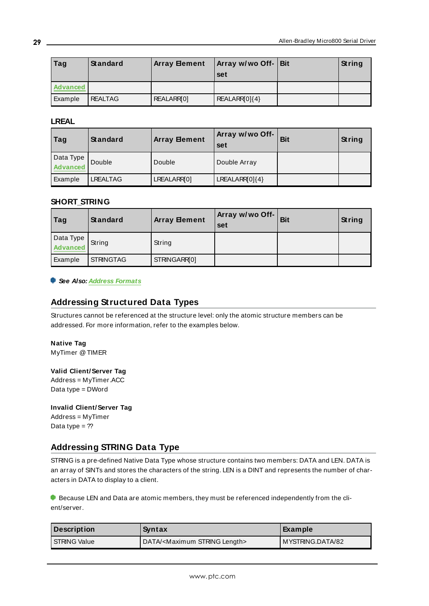| Tag             | Standard       | <b>Array Element</b> | Array w/wo Off-   Bit<br>set | String |
|-----------------|----------------|----------------------|------------------------------|--------|
| <b>Advanced</b> |                |                      |                              |        |
| Example         | <b>REALTAG</b> | REALARR[0]           | REALARR[0]{4}                |        |

### **LREAL**

| Tag                   | Standard        | <b>Array Bement</b> | Array w/wo Off-<br>set | <b>Bit</b> | String |
|-----------------------|-----------------|---------------------|------------------------|------------|--------|
| Data Type<br>Advanced | Double          | Double              | Double Array           |            |        |
| Example               | <b>LREALTAG</b> | LREALARR[0]         | $LREALARR0$ {4}        |            |        |

# **SHORT\_STRING**

| Tag                   | Standard         | <b>Array Element</b> | Array w/wo Off- $\vert$<br>set | <b>Bit</b> | String |
|-----------------------|------------------|----------------------|--------------------------------|------------|--------|
| Data Type<br>Advanced | String           | String               |                                |            |        |
| Example               | <b>STRINGTAG</b> | STRINGARR[0]         |                                |            |        |

#### <span id="page-28-0"></span>**See Also: Address [Formats](#page-24-0)**

# **Addressing Structured Data Types**

Structures cannot be referenced at the structure level: only the atomic structure members can be addressed. For more information, refer to the examples below.

<span id="page-28-3"></span>**Native Tag** MyTimer @TIMER

<span id="page-28-4"></span>**Valid Client/Server Tag** Address = MyTimer.ACC Data type = DWord

<span id="page-28-2"></span>**Invalid Client/Server Tag** Address = MyTimer Data type =  $?$ ?

# <span id="page-28-1"></span>**Addressing STRING Data Type**

STRING is a pre-defined Native Data Type whose structure contains two members: DATA and LEN. DATA is an array of SINTs and stores the characters of the string. LEN is a DINT and represents the number of characters in DATA to display to a client.

**Because LEN and Data are atomic members, they must be referenced independently from the cli**ent/server.

| Description<br>Syntax                                            |  | ∣ Example          |
|------------------------------------------------------------------|--|--------------------|
| DATA/ <maximum length="" string=""><br/>I STRING Value</maximum> |  | I MYSTRING.DATA/82 |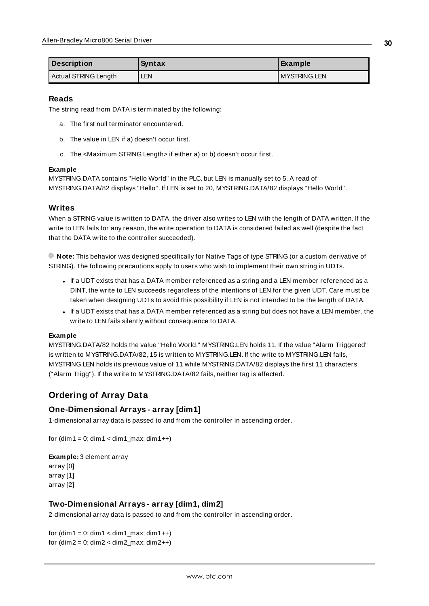| <b>Description</b>   | Syntax     | Example      |
|----------------------|------------|--------------|
| Actual STRING Length | <b>LEN</b> | MYSTRING.LEN |

#### **Reads**

The string read from DATA is terminated by the following:

- a. The first null terminator encountered.
- b. The value in LEN if a) doesn't occur first.
- c. The <Maximum STRING Length> if either a) or b) doesn't occur first.

#### **Example**

MYSTRING.DATA contains "Hello World" in the PLC, but LEN is manually set to 5. A read of MYSTRING.DATA/82 displays "Hello". If LEN is set to 20, MYSTRING.DATA/82 displays "Hello World".

## **Writes**

When a STRING value is written to DATA, the driver also writes to LEN with the length of DATA written. If the write to LEN fails for any reason, the write operation to DATA is considered failed as well (despite the fact that the DATA write to the controller succeeded).

**Note:** This behavior was designed specifically for Native Tags of type STRING (or a custom derivative of STRING). The following precautions apply to users who wish to implement their own string in UDTs.

- If a UDT exists that has a DATA member referenced as a string and a LEN member referenced as a DINT, the write to LEN succeeds regardless of the intentions of LEN for the given UDT. Care must be taken when designing UDTs to avoid this possibility if LEN is not intended to be the length of DATA.
- If a UDT exists that has a DATA member referenced as a string but does not have a LEN member, the write to LEN fails silently without consequence to DATA.

#### **Example**

MYSTRING.DATA/82 holds the value "Hello World." MYSTRING.LEN holds 11. If the value "Alarm Triggered" is written to MYSTRING.DATA/82, 15 is written to MYSTRING.LEN. If the write to MYSTRING.LEN fails, MYSTRING.LEN holds its previous value of 11 while MYSTRING.DATA/82 displays the first 11 characters ("Alarm Trigg"). If the write to MYSTRING.DATA/82 fails, neither tag is affected.

# <span id="page-29-0"></span>**Ordering of Array Data**

# **One-Dimensional Arrays - array [dim1]**

1-dimensional array data is passed to and from the controller in ascending order.

```
for (dim1 = 0; dim1 < dim1 max; dim1++)
```
#### **Example:** 3 element array

array [0] array [1] array [2]

### **Two-Dimensional Arrays - array [dim1, dim2]**

2-dimensional array data is passed to and from the controller in ascending order.

for  $(dim1 = 0; dim1 < dim1 max; dim1++)$ for  $(dim2 = 0; dim2 < dim2<sub>max</sub>; dim2++)$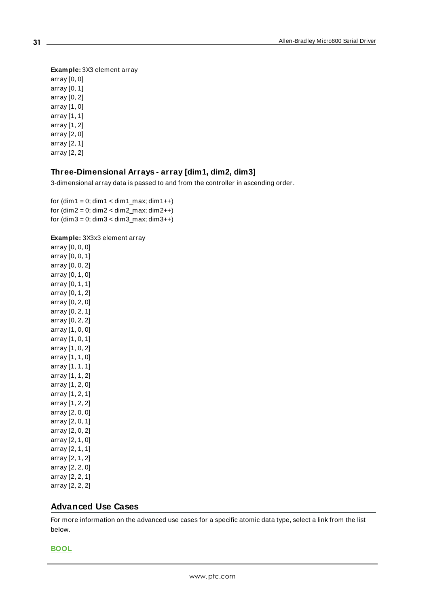**Example:** 3X3 element array array [0, 0] array [0, 1] array [0, 2] array [1, 0] array [1, 1] array [1, 2] array [2, 0] array [2, 1]

array [2, 2]

# **Three-Dimensional Arrays - array [dim1, dim2, dim3]**

3-dimensional array data is passed to and from the controller in ascending order.

for  $(dim1 = 0; dim1 < dim1_max; dim1++)$ for  $(dim2 = 0; dim2 < dim2_max; dim2++)$ for  $(dim3 = 0; dim3 < dim3_max; dim3++)$ 

#### **Example:** 3X3x3 element array

array [0, 0, 0] array [0, 0, 1] array [0, 0, 2] array [0, 1, 0] array [0, 1, 1] array [0, 1, 2] array [0, 2, 0] array [0, 2, 1] array [0, 2, 2] array [1, 0, 0] array [1, 0, 1] array [1, 0, 2] array [1, 1, 0] array [1, 1, 1] array [1, 1, 2] array [1, 2, 0] array [1, 2, 1] array [1, 2, 2] array [2, 0, 0] array [2, 0, 1] array [2, 0, 2] array [2, 1, 0] array [2, 1, 1] array [2, 1, 2] array [2, 2, 0] array [2, 2, 1] array [2, 2, 2]

### <span id="page-30-0"></span>**Advanced Use Cases**

For more information on the advanced use cases for a specific atomic data type, select a link from the list below.

**[BOOL](#page-31-0)**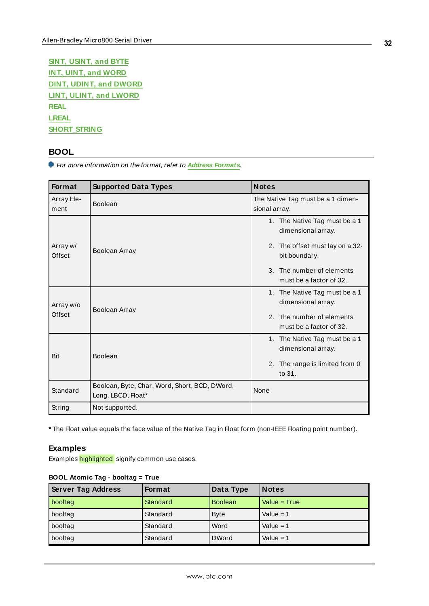**SINT, [USINT,](#page-32-0) and BYTE INT, UINT, and [WORD](#page-35-0) DINT, UDINT, and [DWORD](#page-37-0) LINT, ULINT, and [LWORD](#page-40-0) [REAL](#page-42-0) [LREAL](#page-44-0) [SHORT\\_STRING](#page-46-0)**

# <span id="page-31-0"></span>**BOOL**

For more information on the format, refer to **Address [Formats](#page-24-0)**.

| Format              | <b>Supported Data Types</b>                                         | <b>Notes</b>                                                                                                                                                    |
|---------------------|---------------------------------------------------------------------|-----------------------------------------------------------------------------------------------------------------------------------------------------------------|
| Array Ele-<br>ment  | Boolean                                                             | The Native Tag must be a 1 dimen-<br>sional array.                                                                                                              |
| Array w/<br>Offset  | Boolean Array                                                       | 1. The Native Tag must be a 1<br>dimensional array.<br>2. The offset must lay on a 32-<br>bit boundary.<br>3. The number of elements<br>must be a factor of 32. |
| Array w/o<br>Offset | Boolean Array                                                       | 1. The Native Tag must be a 1<br>dimensional array.<br>2. The number of elements<br>must be a factor of 32.                                                     |
| Bit                 | Boolean                                                             | 1. The Native Tag must be a 1<br>dimensional array.<br>2. The range is limited from 0<br>to 31.                                                                 |
| Standard            | Boolean, Byte, Char, Word, Short, BCD, DWord,<br>Long, LBCD, Float* | None                                                                                                                                                            |
| String              | Not supported.                                                      |                                                                                                                                                                 |

\* The Float value equals the face value of the Native Tag in Float form (non-IEEE Floating point number).

### **Examples**

Examples highlighted signify common use cases.

| <b>Server Tag Address</b> | <b>Format</b> | Data Type      | <b>Notes</b>   |
|---------------------------|---------------|----------------|----------------|
| booltag                   | Standard      | <b>Boolean</b> | $Value = True$ |
| booltag                   | Standard      | <b>Byte</b>    | Value = $1$    |
| booltag                   | Standard      | Word           | Value = $1$    |
| booltag                   | Standard      | <b>DWord</b>   | Value = $1$    |

# **BOOL Atomic Tag - booltag = True**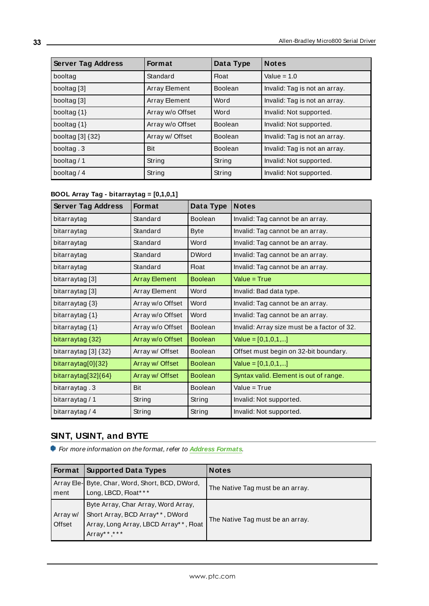| <b>Server Tag Address</b><br><b>Format</b> |                      | Data Type      | <b>Notes</b>                  |
|--------------------------------------------|----------------------|----------------|-------------------------------|
| booltag                                    | Standard             | <b>Float</b>   | Value = $1.0$                 |
| booltag [3]                                | <b>Array Element</b> | <b>Boolean</b> | Invalid: Tag is not an array. |
| booltag [3]                                | Array Element        | Word           | Invalid: Tag is not an array. |
| booltag {1}                                | Array w/o Offset     | Word           | Invalid: Not supported.       |
| booltag $\{1\}$                            | Array w/o Offset     | <b>Boolean</b> | Invalid: Not supported.       |
| booltag [3] {32}                           | Array w/ Offset      | <b>Boolean</b> | Invalid: Tag is not an array. |
| booltag.3                                  | Bit                  | <b>Boolean</b> | Invalid: Tag is not an array. |
| booltag $/ 1$                              | String               | String         | Invalid: Not supported.       |
| booltag $/4$                               | String               | String         | Invalid: Not supported.       |

|  |  | BOOL Array Tag - bitarraytag = [0,1,0,1] |  |
|--|--|------------------------------------------|--|
|--|--|------------------------------------------|--|

| <b>Server Tag Address</b> | <b>Format</b>        | Data Type      | <b>Notes</b>                                |
|---------------------------|----------------------|----------------|---------------------------------------------|
| bitarraytag               | Standard             | <b>Boolean</b> | Invalid: Tag cannot be an array.            |
| bitarraytag               | Standard             | <b>Byte</b>    | Invalid: Tag cannot be an array.            |
| bitarraytag               | Standard             | Word           | Invalid: Tag cannot be an array.            |
| bitarraytag               | Standard             | <b>DWord</b>   | Invalid: Tag cannot be an array.            |
| bitarraytag               | Standard             | <b>Float</b>   | Invalid: Tag cannot be an array.            |
| bitarraytag [3]           | <b>Array Element</b> | <b>Boolean</b> | Value = True                                |
| bitarraytag [3]           | Array Element        | Word           | Invalid: Bad data type.                     |
| bitarraytag $\{3\}$       | Array w/o Offset     | Word           | Invalid: Tag cannot be an array.            |
| bitarraytag {1}           | Array w/o Offset     | Word           | Invalid: Tag cannot be an array.            |
| bitarraytag {1}           | Array w/o Offset     | <b>Boolean</b> | Invalid: Array size must be a factor of 32. |
| bitarraytag {32}          | Array w/o Offset     | <b>Boolean</b> | Value = $[0,1,0,1,]$                        |
| bitarraytag [3] {32}      | Array w/ Offset      | <b>Boolean</b> | Offset must begin on 32-bit boundary.       |
| bitarraytag[0]{32}        | Array w/ Offset      | <b>Boolean</b> | Value = $[0,1,0,1,]$                        |
| bitarraytag[32]{64}       | Array w/ Offset      | <b>Boolean</b> | Syntax valid. Element is out of range.      |
| bitarraytag. 3            | Bit                  | <b>Boolean</b> | Value = True                                |
| bitarraytag / 1           | String               | String         | Invalid: Not supported.                     |
| bitarraytag / 4           | String               | String         | Invalid: Not supported.                     |

# <span id="page-32-0"></span>**SINT, USINT, and BYTE**

For more information on the format, refer to **Address [Formats](#page-24-0)**.

| <b>Format</b>      | <b>Supported Data Types</b>                                                                                                     | <b>Notes</b>                     |
|--------------------|---------------------------------------------------------------------------------------------------------------------------------|----------------------------------|
| ment               | Array Ele- Byte, Char, Word, Short, BCD, DWord,<br>Long, LBCD, Float***                                                         | The Native Tag must be an array. |
| Array w/<br>Offset | Byte Array, Char Array, Word Array,<br>Short Array, BCD Array**, DWord<br>Array, Long Array, LBCD Array**, Float<br>Array**,*** | The Native Tag must be an array. |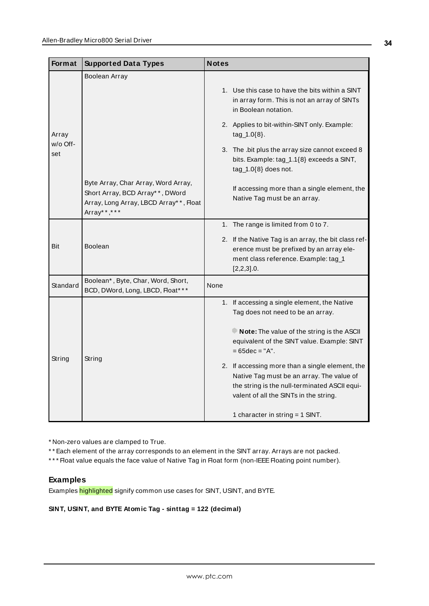| Format          | <b>Supported Data Types</b>                                                                                                     | <b>Notes</b>                                                                                                                                                                            |
|-----------------|---------------------------------------------------------------------------------------------------------------------------------|-----------------------------------------------------------------------------------------------------------------------------------------------------------------------------------------|
|                 | Boolean Array                                                                                                                   | 1. Use this case to have the bits within a SINT<br>in array form. This is not an array of SINTs<br>in Boolean notation.                                                                 |
| Array           |                                                                                                                                 | 2. Applies to bit-within-SINT only. Example:<br>$tag_1.0\{8\}.$                                                                                                                         |
| w/o Off-<br>set |                                                                                                                                 | 3. The .bit plus the array size cannot exceed 8<br>bits. Example: tag_1.1{8} exceeds a SINT,<br>$tag_1.0\{8\}$ does not.                                                                |
|                 | Byte Array, Char Array, Word Array,<br>Short Array, BCD Array**, DWord<br>Array, Long Array, LBCD Array**, Float<br>Array**,*** | If accessing more than a single element, the<br>Native Tag must be an array.                                                                                                            |
|                 |                                                                                                                                 | 1. The range is limited from 0 to 7.                                                                                                                                                    |
| Bit             | <b>Boolean</b>                                                                                                                  | 2. If the Native Tag is an array, the bit class ref-<br>erence must be prefixed by an array ele-<br>ment class reference. Example: tag_1<br>$[2,2,3]$ .0.                               |
| Standard        | Boolean*, Byte, Char, Word, Short,<br>BCD, DWord, Long, LBCD, Float* **                                                         | None                                                                                                                                                                                    |
|                 |                                                                                                                                 | 1. If accessing a single element, the Native<br>Tag does not need to be an array.                                                                                                       |
| String          | String                                                                                                                          | Note: The value of the string is the ASCII<br>equivalent of the SINT value. Example: SINT<br>$= 65$ dec $= "A".$                                                                        |
|                 |                                                                                                                                 | 2. If accessing more than a single element, the<br>Native Tag must be an array. The value of<br>the string is the null-terminated ASCII equi-<br>valent of all the SINTs in the string. |
|                 |                                                                                                                                 | 1 character in string $=$ 1 SINT.                                                                                                                                                       |

\* Non-zero values are clamped to True.

\* \* Each element of the array corresponds to an element in the SINT array. Arrays are not packed.

\*\*\* Float value equals the face value of Native Tag in Float form (non-IEEE Floating point number).

## **Examples**

Examples highlighted signify common use cases for SINT, USINT, and BYTE.

**SINT, USINT, and BYTE Atomic Tag - sinttag = 122 (decimal)**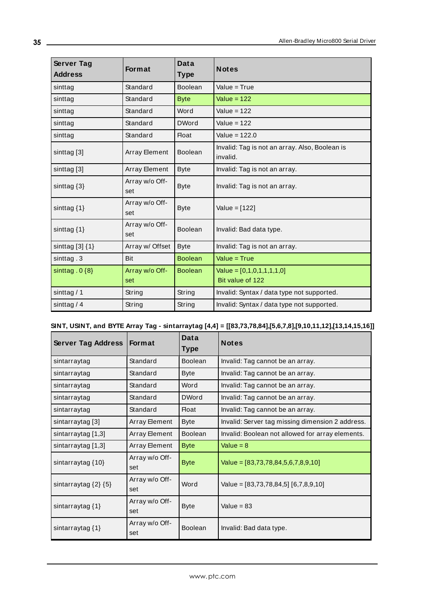| Server Tag<br><b>Address</b> | <b>Format</b>         | <b>Data</b><br><b>Type</b> | <b>Notes</b>                                               |
|------------------------------|-----------------------|----------------------------|------------------------------------------------------------|
| sinttag                      | Standard              | <b>Boolean</b>             | Value = $True$                                             |
| sinttag                      | Standard              | <b>Byte</b>                | Value = $122$                                              |
| sinttag                      | Standard              | Word                       | Value = $122$                                              |
| sinttag                      | Standard              | <b>DWord</b>               | Value = $122$                                              |
| sinttag                      | Standard              | <b>Float</b>               | Value = 122.0                                              |
| sinttag [3]                  | <b>Array Element</b>  | Boolean                    | Invalid: Tag is not an array. Also, Boolean is<br>invalid. |
| sinttag [3]                  | <b>Array Element</b>  | <b>Byte</b>                | Invalid: Tag is not an array.                              |
| sinttag $\{3\}$              | Array w/o Off-<br>set | <b>Byte</b>                | Invalid: Tag is not an array.                              |
| sinttag $\{1\}$              | Array w/o Off-<br>set | <b>Byte</b>                | Value = [122]                                              |
| sinttag $\{1\}$              | Array w/o Off-<br>set | Boolean                    | Invalid: Bad data type.                                    |
| sinttag $[3]$ $\{1\}$        | Array w/ Offset       | <b>Byte</b>                | Invalid: Tag is not an array.                              |
| sinttag.3                    | Bit                   | <b>Boolean</b>             | Value = $True$                                             |
| sinttag. $0\{8\}$            | Array w/o Off-<br>set | <b>Boolean</b>             | $Value = [0,1,0,1,1,1,1,0]$<br>Bit value of 122            |
| sinttag $/ 1$                | String                | String                     | Invalid: Syntax / data type not supported.                 |
| sinttag $/4$                 | String                | String                     | Invalid: Syntax / data type not supported.                 |

## **SINT, USINT, and BYTE Array Tag - sintarraytag [4,4] = [[83,73,78,84],[5,6,7,8],[9,10,11,12],[13,14,15,16]]**

| <b>Server Tag Address</b>    | <b>Format</b>         | Data<br><b>Type</b> | <b>Notes</b>                                     |
|------------------------------|-----------------------|---------------------|--------------------------------------------------|
| sintarraytag                 | Standard              | <b>Boolean</b>      | Invalid: Tag cannot be an array.                 |
| sintarraytag                 | Standard              | <b>Byte</b>         | Invalid: Tag cannot be an array.                 |
| sintarraytag                 | Standard              | Word                | Invalid: Tag cannot be an array.                 |
| sintarraytag                 | Standard              | <b>DWord</b>        | Invalid: Tag cannot be an array.                 |
| sintarraytag                 | Standard              | Float               | Invalid: Tag cannot be an array.                 |
| sintarraytag [3]             | Array Element         | <b>Byte</b>         | Invalid: Server tag missing dimension 2 address. |
| sintarraytag [1,3]           | Array Element         | <b>Boolean</b>      | Invalid: Boolean not allowed for array elements. |
| sintarraytag [1,3]           | Array Element         | <b>Byte</b>         | Value = $8$                                      |
| sintarraytag {10}            | Array w/o Off-<br>set | <b>Byte</b>         | Value = $[83,73,78,84,5,6,7,8,9,10]$             |
| sintarraytag $\{2\}$ $\{5\}$ | Array w/o Off-<br>set | Word                | Value = $[83,73,78,84,5]$ [6,7,8,9,10]           |
| sintarraytag $\{1\}$         | Array w/o Off-<br>set | <b>Byte</b>         | Value = $83$                                     |
| sintarraytag $\{1\}$         | Array w/o Off-<br>set | <b>Boolean</b>      | Invalid: Bad data type.                          |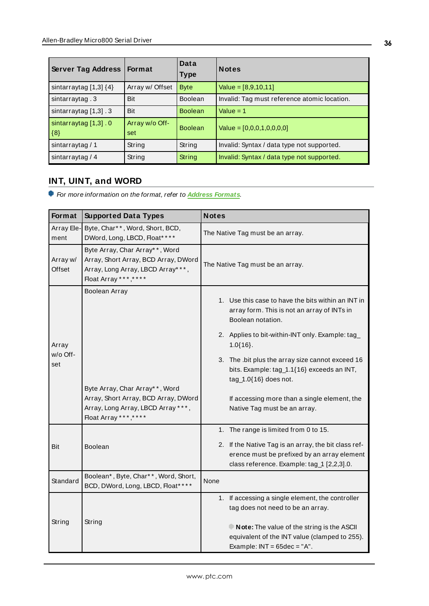| <b>Server Tag Address</b>                     | <b>Format</b>         | Data<br><b>Type</b> | <b>Notes</b>                                 |
|-----------------------------------------------|-----------------------|---------------------|----------------------------------------------|
| sintarraytag $[1,3]$ $\{4\}$                  | Array w/ Offset       | <b>Byte</b>         | Value = $[8,9,10,11]$                        |
| sintarraytag.3                                | Bit                   | <b>Boolean</b>      | Invalid: Tag must reference atomic location. |
| sintarraytag $[1,3]$ . 3                      | Bit                   | <b>Boolean</b>      | Value $= 1$                                  |
| sintarraytag [1,3] . 0<br>$\vert \{8\} \vert$ | Array w/o Off-<br>set | <b>Boolean</b>      | Value = $[0,0,0,1,0,0,0,0]$                  |
| sintarraytag / 1                              | String                | String              | Invalid: Syntax / data type not supported.   |
| sintarraytag / 4                              | String                | String              | Invalid: Syntax / data type not supported.   |

# <span id="page-35-0"></span>**INT, UINT, and WORD**

For more information on the format, refer to **Address [Formats](#page-24-0)**.

| Format             | <b>Supported Data Types</b>                                                                                                           | <b>Notes</b>                                                                                                                                      |
|--------------------|---------------------------------------------------------------------------------------------------------------------------------------|---------------------------------------------------------------------------------------------------------------------------------------------------|
| Array Ele-<br>ment | Byte, Char**, Word, Short, BCD,<br>DWord, Long, LBCD, Float****                                                                       | The Native Tag must be an array.                                                                                                                  |
| Array w/<br>Offset | Byte Array, Char Array**, Word<br>Array, Short Array, BCD Array, DWord<br>Array, Long Array, LBCD Array***,<br>Float Array *** *****  | The Native Tag must be an array.                                                                                                                  |
|                    | Boolean Array                                                                                                                         | 1. Use this case to have the bits within an INT in<br>array form. This is not an array of INTs in<br>Boolean notation.                            |
| Array              |                                                                                                                                       | 2. Applies to bit-within-INT only. Example: tag_<br>$1.0{16}.$                                                                                    |
| w/o Off-<br>set    |                                                                                                                                       | 3. The .bit plus the array size cannot exceed 16<br>bits. Example: tag_1.1{16} exceeds an INT,<br>$tag_1.0{16}$ does not.                         |
|                    | Byte Array, Char Array**, Word<br>Array, Short Array, BCD Array, DWord<br>Array, Long Array, LBCD Array ***,<br>Float Array ***, **** | If accessing more than a single element, the<br>Native Tag must be an array.                                                                      |
|                    |                                                                                                                                       | 1. The range is limited from 0 to 15.                                                                                                             |
| Bit                | <b>Boolean</b>                                                                                                                        | 2. If the Native Tag is an array, the bit class ref-<br>erence must be prefixed by an array element<br>class reference. Example: tag_1 [2,2,3].0. |
| Standard           | Boolean*, Byte, Char**, Word, Short,<br>BCD, DWord, Long, LBCD, Float* ***                                                            | None                                                                                                                                              |
|                    |                                                                                                                                       | 1. If accessing a single element, the controller<br>tag does not need to be an array.                                                             |
| String             | String                                                                                                                                | Note: The value of the string is the ASCII<br>equivalent of the INT value (clamped to 255).<br>Example: $INT = 65dec = "A".$                      |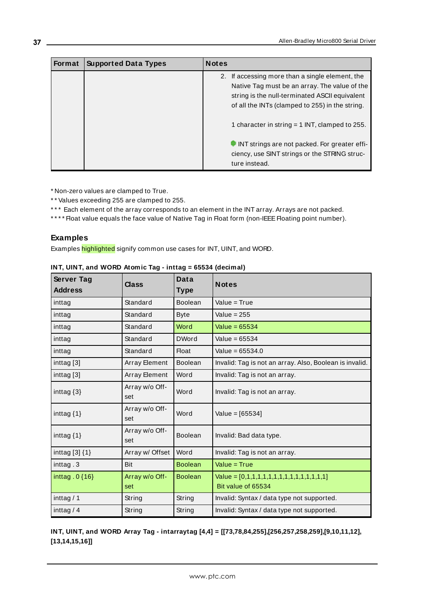| Format | <b>Supported Data Types</b> | <b>Notes</b>                                                                                                                                                                                                                                              |
|--------|-----------------------------|-----------------------------------------------------------------------------------------------------------------------------------------------------------------------------------------------------------------------------------------------------------|
|        |                             | 2. If accessing more than a single element, the<br>Native Tag must be an array. The value of the<br>string is the null-terminated ASCII equivalent<br>of all the INTs (clamped to 255) in the string.<br>1 character in string $=$ 1 INT, clamped to 255. |
|        |                             | INT strings are not packed. For greater effi-<br>ciency, use SINT strings or the STRING struc-<br>ture instead.                                                                                                                                           |

\* Non-zero values are clamped to True.

\* \* Values exceeding 255 are clamped to 255.

\*\*\* Each element of the array corresponds to an element in the INT array. Arrays are not packed.

\*\*\*\* Float value equals the face value of Native Tag in Float form (non-IEEE Floating point number).

### **Examples**

Examples highlighted signify common use cases for INT, UINT, and WORD.

| <b>Server Tag</b><br><b>Address</b> | Class                 | Data<br><b>Type</b> | <b>Notes</b>                                                      |
|-------------------------------------|-----------------------|---------------------|-------------------------------------------------------------------|
| inttag                              | Standard              | Boolean             | Value = $True$                                                    |
| inttag                              | Standard              | <b>Byte</b>         | Value = $255$                                                     |
| inttag                              | Standard              | Word                | Value = $65534$                                                   |
| inttag                              | Standard              | <b>DWord</b>        | Value = $65534$                                                   |
| inttag                              | Standard              | <b>Float</b>        | Value = $65534.0$                                                 |
| inttag [3]                          | Array Element         | <b>Boolean</b>      | Invalid: Tag is not an array. Also, Boolean is invalid.           |
| inttag [3]                          | Array Element         | Word                | Invalid: Tag is not an array.                                     |
| inttag $\{3\}$                      | Array w/o Off-<br>set | Word                | Invalid: Tag is not an array.                                     |
| inttag $\{1\}$                      | Array w/o Off-<br>set | Word                | Value = $[65534]$                                                 |
| inttag $\{1\}$                      | Array w/o Off-<br>set | <b>Boolean</b>      | Invalid: Bad data type.                                           |
| inttag $[3]$ $\{1\}$                | Array w/ Offset       | Word                | Invalid: Tag is not an array.                                     |
| inttag .3                           | Bit                   | <b>Boolean</b>      | Value = $True$                                                    |
| inttag. $0\{16\}$                   | Array w/o Off-<br>set | <b>Boolean</b>      | Value = $[0,1,1,1,1,1,1,1,1,1,1,1,1,1,1,1]$<br>Bit value of 65534 |
| inttag / 1                          | String                | String              | Invalid: Syntax / data type not supported.                        |
| inttag $/4$                         | String                | String              | Invalid: Syntax / data type not supported.                        |

| INT, UINT, and WORD Atomic Tag - inttag = 65534 (decimal) |  |  |
|-----------------------------------------------------------|--|--|

**INT, UINT, and WORD Array Tag - intarraytag [4,4] = [[73,78,84,255],[256,257,258,259],[9,10,11,12], [13,14,15,16]]**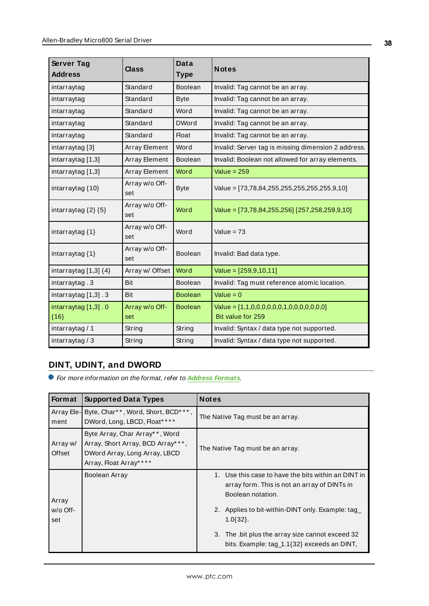| Server Tag<br><b>Address</b>    | <b>Class</b>          | Data<br><b>Type</b> | <b>Notes</b>                                                   |
|---------------------------------|-----------------------|---------------------|----------------------------------------------------------------|
| intarraytag                     | Standard              | <b>Boolean</b>      | Invalid: Tag cannot be an array.                               |
| intarraytag                     | Standard              | <b>Byte</b>         | Invalid: Tag cannot be an array.                               |
| intarraytag                     | Standard              | Word                | Invalid: Tag cannot be an array.                               |
| intarraytag                     | Standard              | <b>DWord</b>        | Invalid: Tag cannot be an array.                               |
| intarraytag                     | Standard              | <b>Float</b>        | Invalid: Tag cannot be an array.                               |
| intarraytag [3]                 | Array Element         | Word                | Invalid: Server tag is missing dimension 2 address.            |
| intarraytag [1,3]               | Array Element         | Boolean             | Invalid: Boolean not allowed for array elements.               |
| intarraytag [1,3]               | Array Element         | Word                | Value = $259$                                                  |
| intarraytag $\{10\}$            | Array w/o Off-<br>set | <b>Byte</b>         | Value = [73,78,84,255,255,255,255,255,9,10]                    |
| intarraytag $\{2\}$ $\{5\}$     | Array w/o Off-<br>set | Word                | Value = [73,78,84,255,256] [257,258,259,9,10]                  |
| intarraytag $\{1\}$             | Array w/o Off-<br>set | Word                | Value = $73$                                                   |
| intarraytag {1}                 | Array w/o Off-<br>set | <b>Boolean</b>      | Invalid: Bad data type.                                        |
| intarraytag $[1,3]$ $\{4\}$     | Array w/ Offset       | Word                | Value = $[259, 9, 10, 11]$                                     |
| intarraytag.3                   | <b>Bit</b>            | <b>Boolean</b>      | Invalid: Tag must reference atomic location.                   |
| intarraytag $[1,3]$ . 3         | Bit                   | <b>Boolean</b>      | Value = $0$                                                    |
| intarraytag [1,3] . 0<br>${16}$ | Array w/o Off-<br>set | <b>Boolean</b>      | Value = $[1,1,0,0,0,0,0,0,1,0,0,0,0,0,0]$<br>Bit value for 259 |
| intarraytag / 1                 | String                | String              | Invalid: Syntax / data type not supported.                     |
| intarraytag $/3$                | String                | String              | Invalid: Syntax / data type not supported.                     |

# <span id="page-37-0"></span>**DINT, UDINT, and DWORD**

For more information on the format, refer to **Address [Formats](#page-24-0)**.

| Format             | <b>Supported Data Types</b>                                                                                                      | <b>Notes</b>                                                                                                             |
|--------------------|----------------------------------------------------------------------------------------------------------------------------------|--------------------------------------------------------------------------------------------------------------------------|
| Array Ele-<br>ment | Byte, Char**, Word, Short, BCD***,<br>DWord, Long, LBCD, Float****                                                               | The Native Tag must be an array.                                                                                         |
| Array w/<br>Offset | Byte Array, Char Array* *, Word<br>Array, Short Array, BCD Array* **,<br>DWord Array, Long Array, LBCD<br>Array, Float Array**** | The Native Tag must be an array.                                                                                         |
| Array              | Boolean Array                                                                                                                    | 1. Use this case to have the bits within an DINT in<br>array form. This is not an array of DINTs in<br>Boolean notation. |
| $w$ /o Off-<br>set |                                                                                                                                  | 2. Applies to bit-within-DINT only. Example: tag<br>$1.0\{32\}.$                                                         |
|                    |                                                                                                                                  | 3. The bit plus the array size cannot exceed 32<br>bits. Example: tag_1.1{32} exceeds an DINT,                           |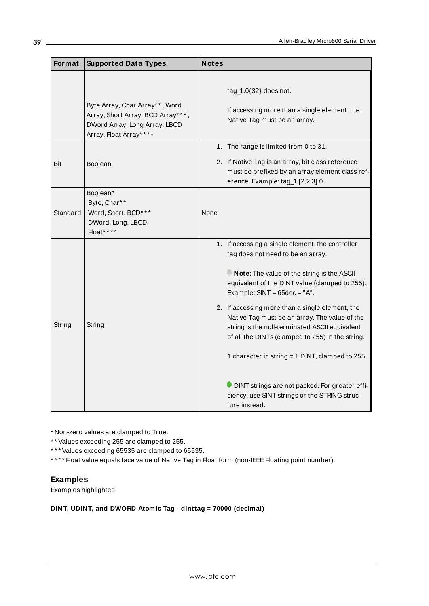| Format   | <b>Supported Data Types</b>                                                                                                    | <b>Notes</b>                                                                                                                                                                                                                                                                                                                                                                                                                                                                                                                                                                                             |
|----------|--------------------------------------------------------------------------------------------------------------------------------|----------------------------------------------------------------------------------------------------------------------------------------------------------------------------------------------------------------------------------------------------------------------------------------------------------------------------------------------------------------------------------------------------------------------------------------------------------------------------------------------------------------------------------------------------------------------------------------------------------|
|          | Byte Array, Char Array**, Word<br>Array, Short Array, BCD Array***,<br>DWord Array, Long Array, LBCD<br>Array, Float Array**** | tag_1.0 $\{32\}$ does not.<br>If accessing more than a single element, the<br>Native Tag must be an array.                                                                                                                                                                                                                                                                                                                                                                                                                                                                                               |
| Bit      | <b>Boolean</b>                                                                                                                 | 1. The range is limited from 0 to 31.<br>2. If Native Tag is an array, bit class reference<br>must be prefixed by an array element class ref-<br>erence. Example: tag_1 [2,2,3].0.                                                                                                                                                                                                                                                                                                                                                                                                                       |
| Standard | Boolean*<br>Byte, Char**<br>Word, Short, BCD***<br>DWord, Long, LBCD<br>Float****                                              | None                                                                                                                                                                                                                                                                                                                                                                                                                                                                                                                                                                                                     |
| String   | String                                                                                                                         | 1. If accessing a single element, the controller<br>tag does not need to be an array.<br>Note: The value of the string is the ASCII<br>equivalent of the DINT value (clamped to 255).<br>Example: $SINT = 65dec = "A".$<br>2. If accessing more than a single element, the<br>Native Tag must be an array. The value of the<br>string is the null-terminated ASCII equivalent<br>of all the DINTs (clamped to 255) in the string.<br>1 character in string = 1 DINT, clamped to 255.<br>DINT strings are not packed. For greater effi-<br>ciency, use SINT strings or the STRING struc-<br>ture instead. |

\* Non-zero values are clamped to True.

\* \* Values exceeding 255 are clamped to 255.

\* \* \* Values exceeding 65535 are clamped to 65535.

\*\*\*\* Float value equals face value of Native Tag in Float form (non-IEEE Floating point number).

# **Examples**

Examples highlighted

# **DINT, UDINT, and DWORD Atomic Tag - dinttag = 70000 (decimal)**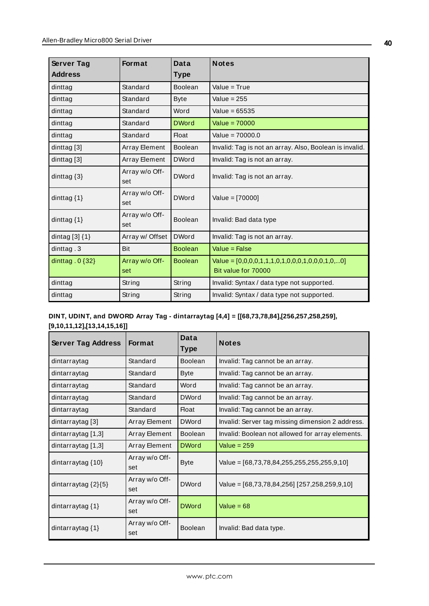| Server Tag           | <b>Format</b>         | Data           | <b>Notes</b>                                                             |
|----------------------|-----------------------|----------------|--------------------------------------------------------------------------|
| <b>Address</b>       |                       | Type           |                                                                          |
| dinttag              | Standard              | Boolean        | Value $=$ True                                                           |
| dinttag              | Standard              | <b>Byte</b>    | Value = $255$                                                            |
| dinttag              | Standard              | Word           | Value = $65535$                                                          |
| dinttag              | Standard              | <b>DWord</b>   | Value = $70000$                                                          |
| dinttag              | Standard              | <b>Float</b>   | Value = $70000.0$                                                        |
| dinttag [3]          | Array Element         | Boolean        | Invalid: Tag is not an array. Also, Boolean is invalid.                  |
| dinttag $[3]$        | Array Element         | <b>DWord</b>   | Invalid: Tag is not an array.                                            |
| dinttag $\{3\}$      | Array w/o Off-<br>set | <b>DWord</b>   | Invalid: Tag is not an array.                                            |
| dinttag $\{1\}$      | Array w/o Off-<br>set | <b>DWord</b>   | Value = $[70000]$                                                        |
| dinttag $\{1\}$      | Array w/o Off-<br>set | Boolean        | Invalid: Bad data type                                                   |
| dintag $[3]$ $\{1\}$ | Array w/ Offset       | <b>DWord</b>   | Invalid: Tag is not an array.                                            |
| dinttag.3            | Bit                   | <b>Boolean</b> | Value = False                                                            |
| dinttag $.0$ {32}    | Array w/o Off-<br>set | <b>Boolean</b> | Value = $[0,0,0,0,1,1,1,0,1,0,0,0,1,0,0,0,1,0,0]$<br>Bit value for 70000 |
| dinttag              | String                | String         | Invalid: Syntax / data type not supported.                               |
| dinttag              | String                | String         | Invalid: Syntax / data type not supported.                               |

# **DINT, UDINT, and DWORD Array Tag - dintarraytag [4,4] = [[68,73,78,84],[256,257,258,259], [9,10,11,12],[13,14,15,16]]**

| <b>Server Tag Address</b> | <b>Format</b>         | Data<br><b>Type</b> | <b>Notes</b>                                     |
|---------------------------|-----------------------|---------------------|--------------------------------------------------|
| dintarraytag              | Standard              | <b>Boolean</b>      | Invalid: Tag cannot be an array.                 |
| dintarraytag              | Standard              | Byte                | Invalid: Tag cannot be an array.                 |
| dintarraytag              | Standard              | Word                | Invalid: Tag cannot be an array.                 |
| dintarraytag              | Standard              | <b>DWord</b>        | Invalid: Tag cannot be an array.                 |
| dintarraytag              | Standard              | <b>Float</b>        | Invalid: Tag cannot be an array.                 |
| dintarraytag [3]          | Array Element         | <b>DWord</b>        | Invalid: Server tag missing dimension 2 address. |
| dintarraytag [1,3]        | Array Element         | <b>Boolean</b>      | Invalid: Boolean not allowed for array elements. |
| dintarraytag [1,3]        | Array Element         | <b>DWord</b>        | Value = $259$                                    |
| dintarraytag $\{10\}$     | Array w/o Off-<br>set | <b>Byte</b>         | Value = $[68,73,78,84,255,255,255,255,9,10]$     |
| dintarraytag $\{2\}\{5\}$ | Array w/o Off-<br>set | <b>DWord</b>        | Value = [68,73,78,84,256] [257,258,259,9,10]     |
| dintarraytag $\{1\}$      | Array w/o Off-<br>set | <b>DWord</b>        | Value = $68$                                     |
| dintarraytag {1}          | Array w/o Off-<br>set | <b>Boolean</b>      | Invalid: Bad data type.                          |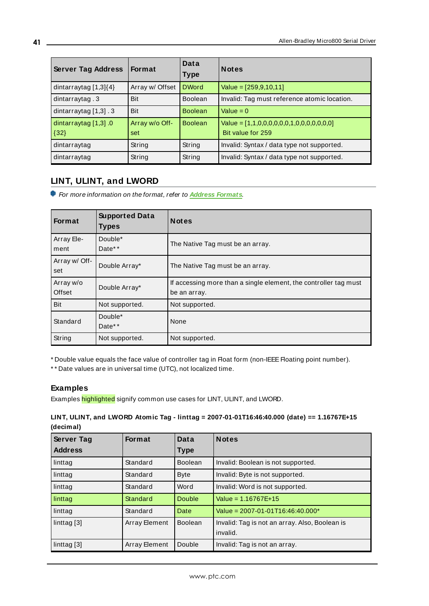| <b>Server Tag Address</b>        | <b>Format</b>         | Data<br><b>Type</b> | <b>Notes</b>                                                   |
|----------------------------------|-----------------------|---------------------|----------------------------------------------------------------|
| dintarraytag [1,3]{4}            | Array w/ Offset       | <b>DWord</b>        | Value = $[259, 9, 10, 11]$                                     |
| dintarraytag.3                   | Bit                   | <b>Boolean</b>      | Invalid: Tag must reference atomic location.                   |
| dintarraytag [1,3] . 3           | Bit                   | <b>Boolean</b>      | Value = $0$                                                    |
| dintarraytag $[1,3]$ 0<br>${32}$ | Array w/o Off-<br>set | <b>Boolean</b>      | Value = $[1,1,0,0,0,0,0,0,1,0,0,0,0,0,0]$<br>Bit value for 259 |
| dintarraytag                     | String                | String              | Invalid: Syntax / data type not supported.                     |
| dintarraytag                     | String                | String              | Invalid: Syntax / data type not supported.                     |

# <span id="page-40-0"></span>**LINT, ULINT, and LWORD**

For more information on the format, refer to **Address [Formats](#page-24-0)**.

| Format               | <b>Supported Data</b><br><b>Types</b> | <b>Notes</b>                                                                     |
|----------------------|---------------------------------------|----------------------------------------------------------------------------------|
| Array Ele-<br>ment   | Double*<br>Date**                     | The Native Tag must be an array.                                                 |
| Array w/ Off-<br>set | Double Array*                         | The Native Tag must be an array.                                                 |
| Array w/o<br>Offset  | Double Array*                         | If accessing more than a single element, the controller tag must<br>be an array. |
| <b>Bit</b>           | Not supported.                        | Not supported.                                                                   |
| Standard             | Double*<br>Date**                     | None                                                                             |
| String               | Not supported.                        | Not supported.                                                                   |

\* Double value equals the face value of controller tag in Float form (non-IEEEFloating point number).

\* \* Date values are in universal time (UTC), not localized time.

### **Examples**

Examples highlighted signify common use cases for LINT, ULINT, and LWORD.

# **LINT, ULINT, and LWORD Atomic Tag - linttag = 2007-01-01T16:46:40.000 (date) == 1.16767E+15 (decimal)**

| <b>Server Tag</b> | <b>Format</b> | Data           | <b>Notes</b>                                   |
|-------------------|---------------|----------------|------------------------------------------------|
| <b>Address</b>    |               | <b>Type</b>    |                                                |
| linttag           | Standard      | <b>Boolean</b> | Invalid: Boolean is not supported.             |
| linttag           | Standard      | <b>Byte</b>    | Invalid: Byte is not supported.                |
| linttag           | Standard      | Word           | Invalid: Word is not supported.                |
| linttag           | Standard      | Double         | Value = $1.16767E+15$                          |
| linttag           | Standard      | Date           | Value = $2007 - 01 - 01T16:46:40.000*$         |
| linttag [3]       | Array Element | <b>Boolean</b> | Invalid: Tag is not an array. Also, Boolean is |
|                   |               |                | invalid.                                       |
| linttag [3]       | Array Element | Double         | Invalid: Tag is not an array.                  |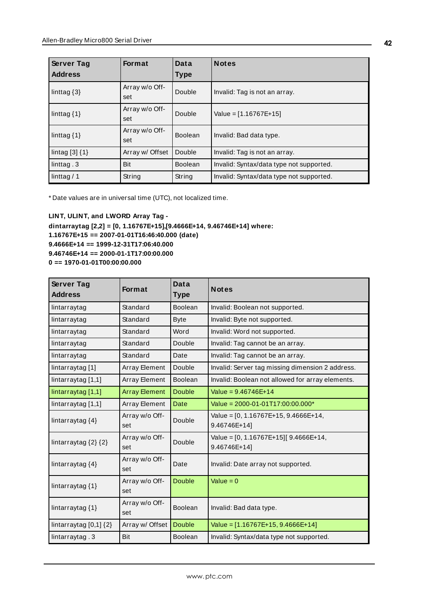| Server Tag<br><b>Address</b> | Format                | Data<br><b>Type</b> | <b>Notes</b>                             |
|------------------------------|-----------------------|---------------------|------------------------------------------|
| linttag $\{3\}$              | Array w/o Off-<br>set | Double              | Invalid: Tag is not an array.            |
| linttag $\{1\}$              | Array w/o Off-<br>set | Double              | Value = $[1.16767E+15]$                  |
| linttag $\{1\}$              | Array w/o Off-<br>set | <b>Boolean</b>      | Invalid: Bad data type.                  |
| lintag $[3]$ $\{1\}$         | Array w/ Offset       | Double              | Invalid: Tag is not an array.            |
| linttag. $3$                 | Bit                   | <b>Boolean</b>      | Invalid: Syntax/data type not supported. |
| linttag $/ 1$                | String                | String              | Invalid: Syntax/data type not supported. |

\* Date values are in universal time (UTC), not localized time.

**LINT, ULINT, and LWORD Array Tag dintarraytag [2,2] = [0, 1.16767E+15],[9.4666E+14, 9.46746E+14] where: 1.16767E+15 == 2007-01-01T16:46:40.000 (date) 9.4666E+14 == 1999-12-31T17:06:40.000 9.46746E+14 == 2000-01-1T17:00:00.000 0 == 1970-01-01T00:00:00.000**

| <b>Server Tag</b><br><b>Address</b> | <b>Format</b>         | Data<br><b>Type</b> | <b>Notes</b>                                           |
|-------------------------------------|-----------------------|---------------------|--------------------------------------------------------|
| lintarraytag                        | Standard              | Boolean             | Invalid: Boolean not supported.                        |
| lintarraytag                        | Standard              | <b>Byte</b>         | Invalid: Byte not supported.                           |
| lintarraytag                        | Standard              | Word                | Invalid: Word not supported.                           |
| lintarraytag                        | Standard              | Double              | Invalid: Tag cannot be an array.                       |
| lintarraytag                        | Standard              | Date                | Invalid: Tag cannot be an array.                       |
| lintarraytag [1]                    | Array Element         | Double              | Invalid: Server tag missing dimension 2 address.       |
| lintarraytag [1,1]                  | Array Element         | <b>Boolean</b>      | Invalid: Boolean not allowed for array elements.       |
| lintarraytag [1,1]                  | <b>Array Element</b>  | <b>Double</b>       | Value = $9.46746F+14$                                  |
| lintarraytag [1,1]                  | Array Element         | Date                | Value = $2000 - 01 - 01T17:00:00.000*$                 |
| lintarraytag {4}                    | Array w/o Off-<br>set | Double              | Value = $[0, 1.16767E+15, 9.4666E+14,$<br>9.46746E+14] |
| lintarraytag $\{2\}$ $\{2\}$        | Array w/o Off-<br>set | Double              | Value = [0, 1.16767E+15][ 9.4666E+14,<br>9.46746E+14]  |
| lintarraytag {4}                    | Array w/o Off-<br>set | Date                | Invalid: Date array not supported.                     |
| lintarraytag {1}                    | Array w/o Off-<br>set | <b>Double</b>       | Value = $0$                                            |
| lintarraytag {1}                    | Array w/o Off-<br>set | <b>Boolean</b>      | Invalid: Bad data type.                                |
| lintarraytag $[0,1]$ $\{2\}$        | Array w/ Offset       | <b>Double</b>       | Value = $[1.16767E+15, 9.4666E+14]$                    |
| lintarraytag.3                      | Bit                   | Boolean             | Invalid: Syntax/data type not supported.               |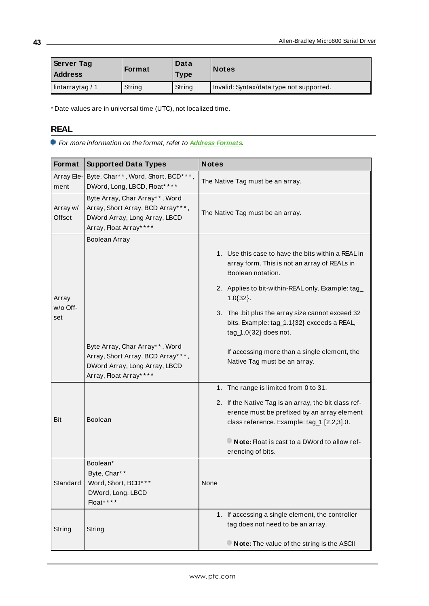| <b>Server Tag</b><br><b>Address</b> | <b>Format</b> | Data<br><b>Type</b> | <b>Notes</b>                             |
|-------------------------------------|---------------|---------------------|------------------------------------------|
| lintarraytag / 1                    | String        | String              | Invalid: Syntax/data type not supported. |

<span id="page-42-0"></span>\* Date values are in universal time (UTC), not localized time.

# **REAL**

For more information on the format, refer to **Address [Formats](#page-24-0)**.

| Format                   | <b>Supported Data Types</b>                                                                                                    | <b>Notes</b>                                                                                                                                                                                                                                                                                                            |
|--------------------------|--------------------------------------------------------------------------------------------------------------------------------|-------------------------------------------------------------------------------------------------------------------------------------------------------------------------------------------------------------------------------------------------------------------------------------------------------------------------|
| Array Ele-<br>ment       | Byte, Char**, Word, Short, BCD***,<br>DWord, Long, LBCD, Float* ***                                                            | The Native Tag must be an array.                                                                                                                                                                                                                                                                                        |
| Array w/<br>Offset       | Byte Array, Char Array**, Word<br>Array, Short Array, BCD Array***,<br>DWord Array, Long Array, LBCD<br>Array, Float Array**** | The Native Tag must be an array.                                                                                                                                                                                                                                                                                        |
| Array<br>w/o Off-<br>set | Boolean Array                                                                                                                  | 1. Use this case to have the bits within a REAL in<br>array form. This is not an array of REALs in<br>Boolean notation.<br>2. Applies to bit-within-REAL only. Example: tag_<br>$1.0\{32\}.$<br>3. The .bit plus the array size cannot exceed 32<br>bits. Example: tag_1.1{32} exceeds a REAL,<br>tag_1.0{32} does not. |
|                          | Byte Array, Char Array**, Word<br>Array, Short Array, BCD Array***,<br>DWord Array, Long Array, LBCD<br>Array, Float Array**** | If accessing more than a single element, the<br>Native Tag must be an array.                                                                                                                                                                                                                                            |
| <b>Bit</b>               | <b>Boolean</b>                                                                                                                 | 1. The range is limited from 0 to 31.<br>2. If the Native Tag is an array, the bit class ref-<br>erence must be prefixed by an array element<br>class reference. Example: tag_1 [2,2,3].0.<br>Note: Float is cast to a DWord to allow ref-<br>erencing of bits.                                                         |
| Standard                 | Boolean*<br>Byte, Char**<br>Word, Short, BCD***<br>DWord, Long, LBCD<br>Float****                                              | None                                                                                                                                                                                                                                                                                                                    |
| String                   | String                                                                                                                         | 1. If accessing a single element, the controller<br>tag does not need to be an array.<br>Note: The value of the string is the ASCII                                                                                                                                                                                     |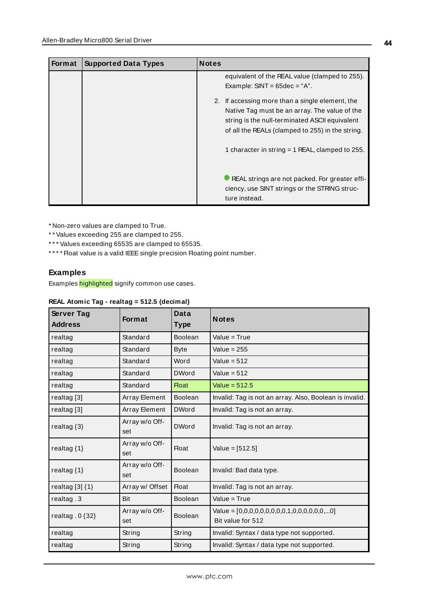| <b>Format</b> | <b>Supported Data Types</b> | <b>Notes</b>                                                                                                                                                                                                                                                                               |
|---------------|-----------------------------|--------------------------------------------------------------------------------------------------------------------------------------------------------------------------------------------------------------------------------------------------------------------------------------------|
|               |                             | equivalent of the REAL value (clamped to 255).<br>Example: $SINT = 65dec = "A".$<br>2. If accessing more than a single element, the<br>Native Tag must be an array. The value of the<br>string is the null-terminated ASCII equivalent<br>of all the REALs (clamped to 255) in the string. |
|               |                             | 1 character in string $=$ 1 REAL, clamped to 255.                                                                                                                                                                                                                                          |
|               |                             | REAL strings are not packed. For greater effi-<br>ciency, use SINT strings or the STRING struc-<br>ture instead.                                                                                                                                                                           |

\* Non-zero values are clamped to True.

\* \* Values exceeding 255 are clamped to 255.

\*\*\* Values exceeding 65535 are clamped to 65535.

\*\*\*\* Float value is a valid IEEE single precision Floating point number.

# **Examples**

Examples highlighted signify common use cases.

## **REAL Atomic Tag - realtag = 512.5 (decimal)**

| Server Tag<br><b>Address</b> | <b>Format</b>         | Data<br><b>Type</b> | <b>Notes</b>                                                       |
|------------------------------|-----------------------|---------------------|--------------------------------------------------------------------|
| realtag                      | Standard              | <b>Boolean</b>      | Value = $True$                                                     |
| realtag                      | Standard              | <b>Byte</b>         | Value = $255$                                                      |
| realtag                      | Standard              | Word                | Value = $512$                                                      |
| realtag                      | Standard              | <b>DWord</b>        | Value = $512$                                                      |
| realtag                      | Standard              | <b>Float</b>        | Value = $512.5$                                                    |
| realtag [3]                  | Array Element         | <b>Boolean</b>      | Invalid: Tag is not an array. Also, Boolean is invalid.            |
| realtag <sup>[3]</sup>       | Array Element         | <b>DWord</b>        | Invalid: Tag is not an array.                                      |
| realtag $\{3\}$              | Array w/o Off-<br>set | <b>DWord</b>        | Invalid: Tag is not an array.                                      |
| realtag $\{1\}$              | Array w/o Off-<br>set | <b>Float</b>        | Value = $[512.5]$                                                  |
| realtag $\{1\}$              | Array w/o Off-<br>set | Boolean             | Invalid: Bad data type.                                            |
| realtag $[3]$ $\{1\}$        | Array w/ Offset       | <b>Float</b>        | Invalid: Tag is not an array.                                      |
| realtag .3                   | Bit                   | <b>Boolean</b>      | Value = $True$                                                     |
| realtag. $0$ {32}            | Array w/o Off-<br>set | <b>Boolean</b>      | Value = $[0,0,0,0,0,0,0,0,0,1,0,0,0,0,0,0,0]$<br>Bit value for 512 |
| realtag                      | String                | String              | Invalid: Syntax / data type not supported.                         |
| realtag                      | String                | String              | Invalid: Syntax / data type not supported.                         |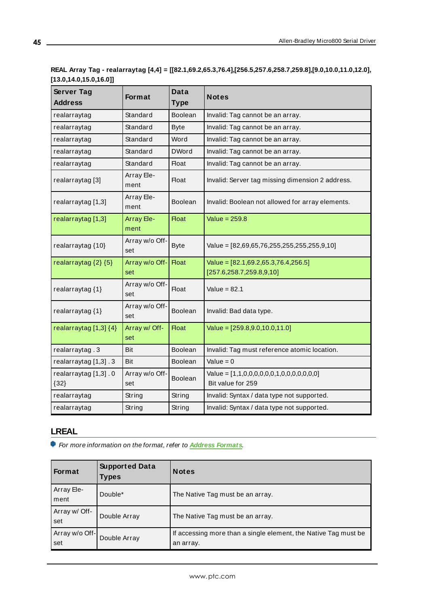# **REAL Array Tag - realarraytag [4,4] = [[82.1,69.2,65.3,76.4],[256.5,257.6,258.7,259.8],[9.0,10.0,11.0,12.0], [13.0,14.0,15.0,16.0]]**

| Server Tag<br><b>Address</b>     | Format                | Data<br><b>Type</b> | <b>Notes</b>                                                      |
|----------------------------------|-----------------------|---------------------|-------------------------------------------------------------------|
| realarraytag                     | Standard              | <b>Boolean</b>      | Invalid: Tag cannot be an array.                                  |
| realarraytag                     | Standard              | <b>Byte</b>         | Invalid: Tag cannot be an array.                                  |
| realarraytag                     | Standard              | Word                | Invalid: Tag cannot be an array.                                  |
| realarraytag                     | Standard              | <b>DWord</b>        | Invalid: Tag cannot be an array.                                  |
| realarraytag                     | Standard              | <b>Float</b>        | Invalid: Tag cannot be an array.                                  |
| realarraytag [3]                 | Array Ele-<br>ment    | Float               | Invalid: Server tag missing dimension 2 address.                  |
| realarraytag [1,3]               | Array Ele-<br>ment    | <b>Boolean</b>      | Invalid: Boolean not allowed for array elements.                  |
| realarraytag [1,3]               | Array Ele-<br>ment    | <b>Float</b>        | Value = $259.8$                                                   |
| realarraytag {10}                | Array w/o Off-<br>set | <b>Byte</b>         | Value = [82,69,65,76,255,255,255,255,9,10]                        |
| realarraytag $\{2\}$ $\{5\}$     | Array w/o Off-<br>set | <b>Float</b>        | Value = $[82.1,69.2,65.3,76.4,256.5]$<br>[257.6,258.7,259.8,9,10] |
| realarraytag {1}                 | Array w/o Off-<br>set | Float               | Value = 82.1                                                      |
| realarraytag {1}                 | Array w/o Off-<br>set | <b>Boolean</b>      | Invalid: Bad data type.                                           |
| realarraytag $[1,3]$ $\{4\}$     | Array w/ Off-<br>set  | <b>Float</b>        | Value = $[259.8, 9.0, 10.0, 11.0]$                                |
| realarraytag.3                   | Bit                   | Boolean             | Invalid: Tag must reference atomic location.                      |
| realarraytag [1,3] . 3           | Bit                   | <b>Boolean</b>      | Value = $0$                                                       |
| realarraytag [1,3] . 0<br>${32}$ | Array w/o Off-<br>set | <b>Boolean</b>      | Value = $[1,1,0,0,0,0,0,0,1,0,0,0,0,0,0,0]$<br>Bit value for 259  |
| realarraytag                     | String                | String              | Invalid: Syntax / data type not supported.                        |
| realarraytag                     | String                | String              | Invalid: Syntax / data type not supported.                        |

# <span id="page-44-0"></span>**LREAL**

For more information on the format, refer to **Address [Formats](#page-24-0)**.

| <b>Format</b>         | <b>Supported Data</b><br>Types | <b>Notes</b>                                                                 |
|-----------------------|--------------------------------|------------------------------------------------------------------------------|
| Array Ele-<br>ment    | Double*                        | The Native Tag must be an array.                                             |
| Array w/ Off-<br>set  | Double Array                   | The Native Tag must be an array.                                             |
| Array w/o Off-<br>set | Double Array                   | If accessing more than a single element, the Native Tag must be<br>an array. |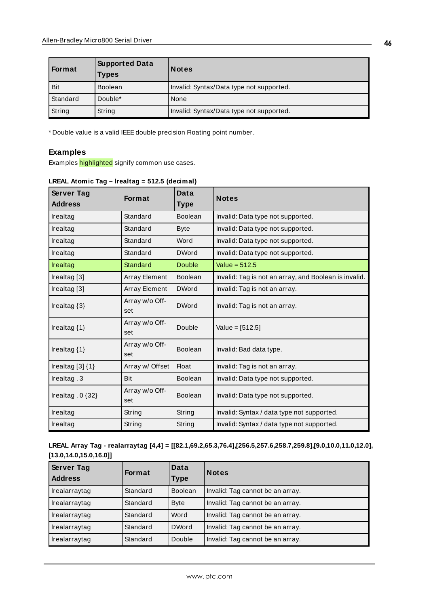| Format   | <b>Supported Data</b><br><b>Types</b> | <b>Notes</b>                             |
|----------|---------------------------------------|------------------------------------------|
| Bit      | <b>Boolean</b>                        | Invalid: Syntax/Data type not supported. |
| Standard | Double*                               | None                                     |
| String   | String                                | Invalid: Syntax/Data type not supported. |

\* Double value is a valid IEEEdouble precision Floating point number.

#### **Examples**

Examples highlighted signify common use cases.

| Server Tag             | <b>Format</b>         | Data           | <b>Notes</b>                                          |
|------------------------|-----------------------|----------------|-------------------------------------------------------|
| <b>Address</b>         |                       | <b>Type</b>    |                                                       |
| Irealtag               | Standard              | Boolean        | Invalid: Data type not supported.                     |
| Irealtag               | Standard              | <b>Byte</b>    | Invalid: Data type not supported.                     |
| Irealtag               | Standard              | Word           | Invalid: Data type not supported.                     |
| Irealtag               | Standard              | <b>DWord</b>   | Invalid: Data type not supported.                     |
| Irealtag               | Standard              | Double         | Value = $512.5$                                       |
| Irealtag [3]           | Array Element         | <b>Boolean</b> | Invalid: Tag is not an array, and Boolean is invalid. |
| Irealtag [3]           | Array Element         | <b>DWord</b>   | Invalid: Tag is not an array.                         |
| Irealtag $\{3\}$       | Array w/o Off-<br>set | <b>DWord</b>   | Invalid: Tag is not an array.                         |
| Irealtag $\{1\}$       | Array w/o Off-<br>set | Double         | Value = $[512.5]$                                     |
| Irealtag $\{1\}$       | Array w/o Off-<br>set | Boolean        | Invalid: Bad data type.                               |
| Irealtag $[3]$ $\{1\}$ | Array w/ Offset       | <b>Float</b>   | Invalid: Tag is not an array.                         |
| Irealtag. 3            | Bit                   | <b>Boolean</b> | Invalid: Data type not supported.                     |
| Irealtag $.0$ {32}     | Array w/o Off-<br>set | Boolean        | Invalid: Data type not supported.                     |
| Irealtag               | String                | String         | Invalid: Syntax / data type not supported.            |
| Irealtag               | String                | String         | Invalid: Syntax / data type not supported.            |

#### **LREAL Atomic Tag – lrealtag = 512.5 (decimal)**

**LREAL Array Tag - realarraytag [4,4] = [[82.1,69.2,65.3,76.4],[256.5,257.6,258.7,259.8],[9.0,10.0,11.0,12.0], [13.0,14.0,15.0,16.0]]**

| <b>Server Tag</b><br><b>Address</b> | <b>Format</b> | Data<br>Type   | <b>Notes</b>                     |
|-------------------------------------|---------------|----------------|----------------------------------|
| Irealarraytag                       | Standard      | <b>Boolean</b> | Invalid: Tag cannot be an array. |
| Irealarraytag                       | Standard      | <b>Byte</b>    | Invalid: Tag cannot be an array. |
| Irealarraytag                       | Standard      | Word           | Invalid: Tag cannot be an array. |
| Irealarraytag                       | Standard      | <b>DWord</b>   | Invalid: Tag cannot be an array. |
| Irealarraytag                       | Standard      | Double         | Invalid: Tag cannot be an array. |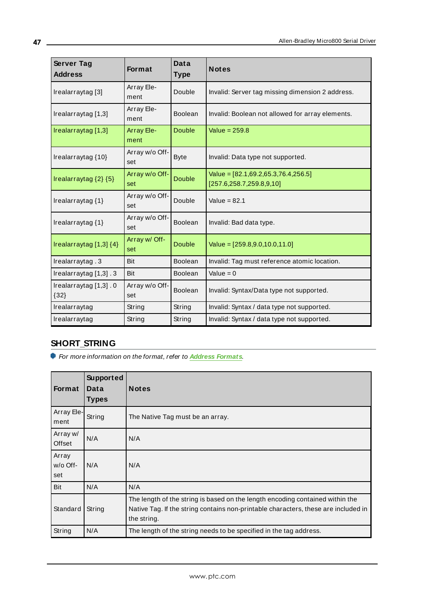| Server Tag<br><b>Address</b>      | <b>Format</b>             | <b>Data</b><br><b>Type</b> | <b>Notes</b>                                                          |
|-----------------------------------|---------------------------|----------------------------|-----------------------------------------------------------------------|
| Irealarraytag [3]                 | Array Ele-<br>ment        | Double                     | Invalid: Server tag missing dimension 2 address.                      |
| Irealarraytag [1,3]               | Array Ele-<br>ment        | Boolean                    | Invalid: Boolean not allowed for array elements.                      |
| Irealarraytag [1,3]               | <b>Array Ele-</b><br>ment | Double                     | Value = $259.8$                                                       |
| Irealarraytag {10}                | Array w/o Off-<br>set     | <b>Byte</b>                | Invalid: Data type not supported.                                     |
| Irealarraytag $\{2\}$ $\{5\}$     | Array w/o Off-<br>set     | <b>Double</b>              | Value = $[82.1,69.2,65.3,76.4,256.5]$<br>[257.6, 258.7, 259.8, 9, 10] |
| Irealarraytag {1}                 | Array w/o Off-<br>set     | Double                     | Value = $82.1$                                                        |
| Irealarraytag {1}                 | Array w/o Off-<br>set     | Boolean                    | Invalid: Bad data type.                                               |
| Irealarraytag $[1,3]$ $\{4\}$     | Array w/ Off-<br>set      | Double                     | Value = $[259.8, 9.0, 10.0, 11.0]$                                    |
| Irealarraytag.3                   | Bit                       | Boolean                    | Invalid: Tag must reference atomic location.                          |
| Irealarraytag $[1,3]$ . 3         | Bit                       | Boolean                    | Value = $0$                                                           |
| Irealarraytag [1,3] . 0<br>${32}$ | Array w/o Off-<br>set     | <b>Boolean</b>             | Invalid: Syntax/Data type not supported.                              |
| Irealarraytag                     | String                    | String                     | Invalid: Syntax / data type not supported.                            |
| Irealarraytag                     | String                    | String                     | Invalid: Syntax / data type not supported.                            |

# <span id="page-46-0"></span>**SHORT\_STRING**

For more information on the format, refer to **Address [Formats](#page-24-0)**.

| Format                   | Supported<br>Data<br><b>Types</b> | <b>Notes</b>                                                                                                                                                                       |
|--------------------------|-----------------------------------|------------------------------------------------------------------------------------------------------------------------------------------------------------------------------------|
| Array Ele-<br>ment       | String                            | The Native Tag must be an array.                                                                                                                                                   |
| Array w/<br>Offset       | N/A                               | N/A                                                                                                                                                                                |
| Array<br>w/o Off-<br>set | N/A                               | N/A                                                                                                                                                                                |
| Bit                      | N/A                               | N/A                                                                                                                                                                                |
| Standard                 | String                            | The length of the string is based on the length encoding contained within the<br>Native Tag. If the string contains non-printable characters, these are included in<br>the string. |
| String                   | N/A                               | The length of the string needs to be specified in the tag address.                                                                                                                 |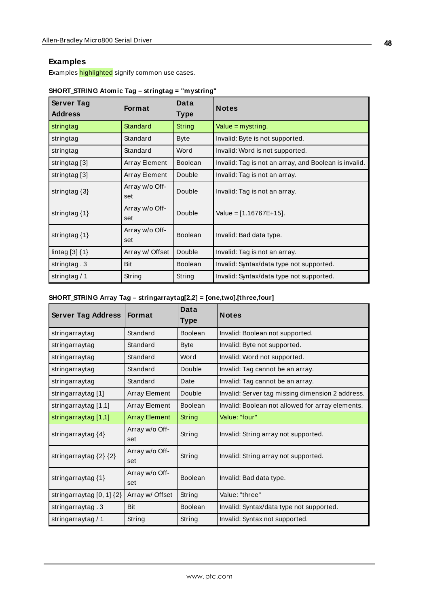### **Examples**

Examples highlighted signify common use cases.

| Server Tag<br><b>Address</b> | <b>Format</b>         | Data<br><b>Type</b> | <b>Notes</b>                                          |
|------------------------------|-----------------------|---------------------|-------------------------------------------------------|
| stringtag                    | Standard              | String              | Value = mystring.                                     |
| stringtag                    | Standard              | <b>Byte</b>         | Invalid: Byte is not supported.                       |
| stringtag                    | Standard              | Word                | Invalid: Word is not supported.                       |
| stringtag [3]                | Array Element         | <b>Boolean</b>      | Invalid: Tag is not an array, and Boolean is invalid. |
| stringtag [3]                | Array Element         | Double              | Invalid: Tag is not an array.                         |
| stringtag $\{3\}$            | Array w/o Off-<br>set | Double              | Invalid: Tag is not an array.                         |
| stringtag $\{1\}$            | Array w/o Off-<br>set | Double              | Value = $[1.16767E+15]$ .                             |
| stringtag $\{1\}$            | Array w/o Off-<br>set | <b>Boolean</b>      | Invalid: Bad data type.                               |
| lintag $[3]$ $\{1\}$         | Array w/ Offset       | Double              | Invalid: Tag is not an array.                         |
| stringtag.3                  | Bit                   | <b>Boolean</b>      | Invalid: Syntax/data type not supported.              |
| stringtag $/ 1$              | String                | String              | Invalid: Syntax/data type not supported.              |

## **SHORT\_STRING Atomic Tag – stringtag = "mystring"**

## **SHORT\_STRING Array Tag – stringarraytag[2,2] = [one,two].[three,four]**

| <b>Server Tag Address</b>       | <b>Format</b>         | Data<br><b>Type</b> | <b>Notes</b>                                     |
|---------------------------------|-----------------------|---------------------|--------------------------------------------------|
| stringarraytag                  | Standard              | <b>Boolean</b>      | Invalid: Boolean not supported.                  |
| stringarraytag                  | Standard              | Byte                | Invalid: Byte not supported.                     |
| stringarraytag                  | Standard              | Word                | Invalid: Word not supported.                     |
| stringarraytag                  | Standard              | Double              | Invalid: Tag cannot be an array.                 |
| stringarraytag                  | Standard              | Date                | Invalid: Tag cannot be an array.                 |
| stringarraytag [1]              | Array Element         | Double              | Invalid: Server tag missing dimension 2 address. |
| stringarraytag [1,1]            | Array Element         | <b>Boolean</b>      | Invalid: Boolean not allowed for array elements. |
| stringarraytag [1,1]            | <b>Array Element</b>  | String              | Value: "four"                                    |
| stringarraytag {4}              | Array w/o Off-<br>set | String              | Invalid: String array not supported.             |
| stringarraytag {2} {2}          | Array w/o Off-<br>set | String              | Invalid: String array not supported.             |
| stringarraytag {1}              | Array w/o Off-<br>set | Boolean             | Invalid: Bad data type.                          |
| stringarraytag $[0, 1]$ $\{2\}$ | Array w/ Offset       | String              | Value: "three"                                   |
| stringarraytag.3                | Bit                   | <b>Boolean</b>      | Invalid: Syntax/data type not supported.         |
| stringarraytag / 1              | String                | String              | Invalid: Syntax not supported.                   |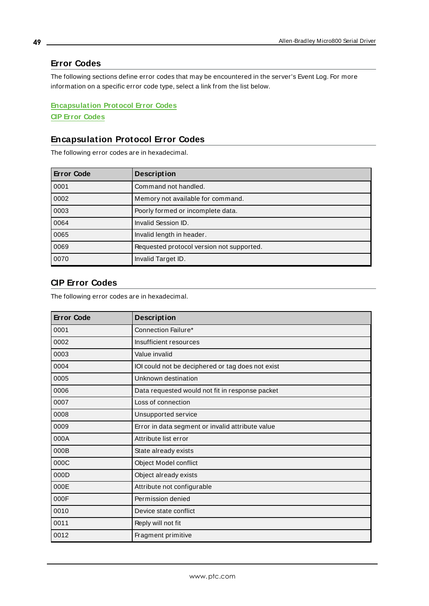# <span id="page-48-0"></span>**Error Codes**

The following sections define error codes that may be encountered in the server's Event Log. For more information on a specific error code type, select a link from the list below.

# **[Encapsulation](#page-48-1) Protocol Error Codes CIP Error [Codes](#page-48-2)**

# <span id="page-48-1"></span>**Encapsulation Protocol Error Codes**

The following error codes are in hexadecimal.

| <b>Error Code</b> | <b>Description</b>                        |
|-------------------|-------------------------------------------|
| 0001              | Command not handled.                      |
| 0002              | Memory not available for command.         |
| 0003              | Poorly formed or incomplete data.         |
| 0064              | Invalid Session ID.                       |
| 0065              | Invalid length in header.                 |
| 0069              | Requested protocol version not supported. |
| 0070              | Invalid Target ID.                        |

# <span id="page-48-2"></span>**CIP Error Codes**

The following error codes are in hexadecimal.

| <b>Error Code</b> | <b>Description</b>                                |
|-------------------|---------------------------------------------------|
| 0001              | Connection Failure*                               |
| 0002              | Insufficient resources                            |
| 0003              | Value invalid                                     |
| 0004              | IOI could not be deciphered or tag does not exist |
| 0005              | Unknown destination                               |
| 0006              | Data requested would not fit in response packet   |
| 0007              | Loss of connection                                |
| 0008              | Unsupported service                               |
| 0009              | Error in data segment or invalid attribute value  |
| 000A              | Attribute list error                              |
| 000B              | State already exists                              |
| 000C              | Object Model conflict                             |
| 000D              | Object already exists                             |
| 000E              | Attribute not configurable                        |
| 000F              | Permission denied                                 |
| 0010              | Device state conflict                             |
| 0011              | Reply will not fit                                |
| 0012              | Fragment primitive                                |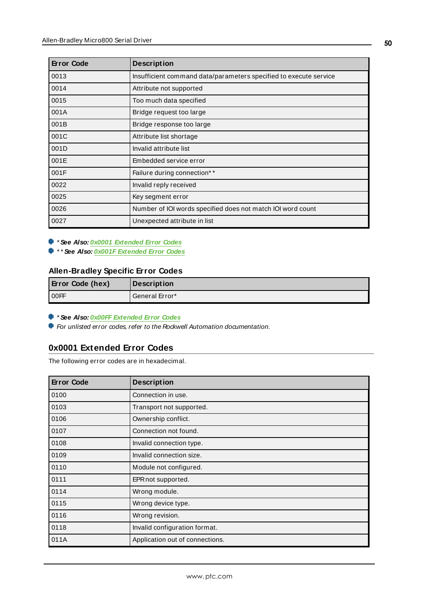| <b>Error Code</b> | <b>Description</b>                                                |
|-------------------|-------------------------------------------------------------------|
| 0013              | Insufficient command data/parameters specified to execute service |
| 0014              | Attribute not supported                                           |
| 0015              | Too much data specified                                           |
| 001A              | Bridge request too large                                          |
| 001B              | Bridge response too large                                         |
| 001C              | Attribute list shortage                                           |
| 001D              | Invalid attribute list                                            |
| 001E              | Embedded service error                                            |
| 001F              | Failure during connection**                                       |
| 0022              | Invalid reply received                                            |
| 0025              | Key segment error                                                 |
| 0026              | Number of IOI words specified does not match IOI word count       |
| 0027              | Unexpected attribute in list                                      |

\* **See Also: 0x0001 [Extended](#page-49-0) Error Codes**

\* \* **See Also: 0x001F [Extended](#page-50-0) Error Codes**

# **Allen-Bradley Specific Error Codes**

| <b>Error Code (hex)</b> | <b>Description</b> |
|-------------------------|--------------------|
| OOFF                    | General Error*     |

\* **See Also: 0x00FF [Extended](#page-50-1) Error Codes**

<span id="page-49-0"></span>For unlisted error codes, refer to the Rockwell Automation documentation.

# **0x0001 Extended Error Codes**

The following error codes are in hexadecimal.

| <b>Error Code</b> | <b>Description</b>              |
|-------------------|---------------------------------|
| 0100              | Connection in use.              |
| 0103              | Transport not supported.        |
| 0106              | Ownership conflict.             |
| 0107              | Connection not found.           |
| 0108              | Invalid connection type.        |
| 0109              | Invalid connection size.        |
| 0110              | Module not configured.          |
| 0111              | EPR not supported.              |
| 0114              | Wrong module.                   |
| 0115              | Wrong device type.              |
| 0116              | Wrong revision.                 |
| 0118              | Invalid configuration format.   |
| 011A              | Application out of connections. |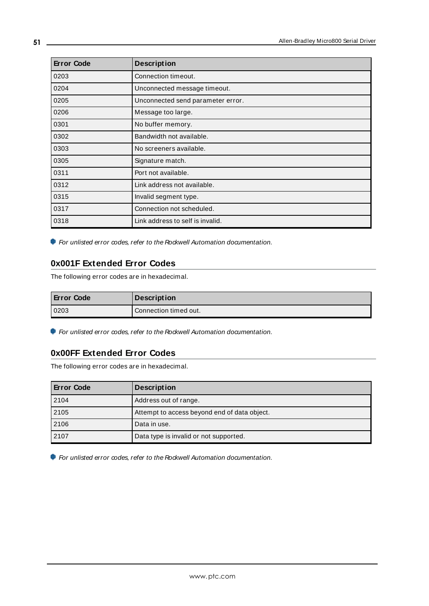| <b>Error Code</b> | <b>Description</b>                |
|-------------------|-----------------------------------|
| 0203              | Connection timeout.               |
| 0204              | Unconnected message timeout.      |
| 0205              | Unconnected send parameter error. |
| 0206              | Message too large.                |
| 0301              | No buffer memory.                 |
| 0302              | Bandwidth not available.          |
| 0303              | No screeners available.           |
| 0305              | Signature match.                  |
| 0311              | Port not available.               |
| 0312              | Link address not available.       |
| 0315              | Invalid segment type.             |
| 0317              | Connection not scheduled.         |
| 0318              | Link address to self is invalid.  |

<span id="page-50-0"></span>For unlisted error codes, refer to the Rockwell Automation documentation.

# **0x001F Extended Error Codes**

The following error codes are in hexadecimal.

| <b>Error Code</b> | <b>Description</b>    |
|-------------------|-----------------------|
| 0203              | Connection timed out. |

<span id="page-50-1"></span>For unlisted error codes, refer to the Rockwell Automation documentation.

# **0x00FF Extended Error Codes**

The following error codes are in hexadecimal.

| <b>Error Code</b> | <b>Description</b>                           |
|-------------------|----------------------------------------------|
| 2104              | Address out of range.                        |
| 2105              | Attempt to access beyond end of data object. |
| 2106              | Data in use.                                 |
| 2107              | Data type is invalid or not supported.       |

For unlisted error codes, refer to the Rockwell Automation documentation.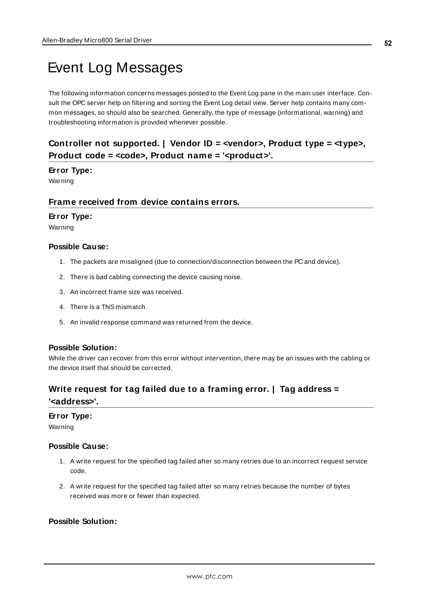# <span id="page-51-0"></span>Event Log Messages

The following information concerns messages posted to the Event Log pane in the main user interface. Consult the OPC server help on filtering and sorting the Event Log detail view. Server help contains many common messages, so should also be searched. Generally, the type of message (informational, warning) and troubleshooting information is provided whenever possible.

# <span id="page-51-1"></span>**Controller not supported. | Vendor ID = <vendor>, Product type = <type>, Product code = <code>, Product name = '<product>'.**

### **Error Type:**

<span id="page-51-2"></span>Warning

# **Frame received from device contains errors.**

#### **Error Type:**

Warning

#### **Possible Cause:**

- 1. The packets are misaligned (due to connection/disconnection between the PC and device).
- 2. There is bad cabling connecting the device causing noise.
- 3. An incorrect frame size was received.
- 4. There is a TNS mismatch.
- 5. An invalid response command was returned from the device.

#### **Possible Solution:**

While the driver can recover from this error without intervention, there may be an issues with the cabling or the device itself that should be corrected.

# <span id="page-51-3"></span>**Write request for tag failed due to a framing error. | Tag address =**

#### **'<address>'.**

# **Error Type:**

Warning

#### **Possible Cause:**

- 1. A write request for the specified tag failed after so many retries due to an incorrect request service code.
- 2. A write request for the specified tag failed after so many retries because the number of bytes received was more or fewer than expected.

# **Possible Solution:**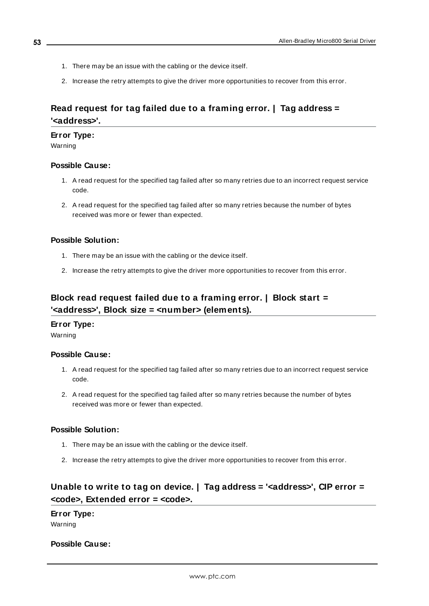- 1. There may be an issue with the cabling or the device itself.
- 2. Increase the retry attempts to give the driver more opportunities to recover from this error.

# <span id="page-52-0"></span>**Read request for tag failed due to a framing error. | Tag address = '<address>'.**

#### **Error Type:**

Warning

#### **Possible Cause:**

- 1. A read request for the specified tag failed after so many retries due to an incorrect request service code.
- 2. A read request for the specified tag failed after so many retries because the number of bytes received was more or fewer than expected.

#### **Possible Solution:**

- 1. There may be an issue with the cabling or the device itself.
- 2. Increase the retry attempts to give the driver more opportunities to recover from this error.

# <span id="page-52-1"></span>**Block read request failed due to a framing error. | Block start = '<address>', Block size = <number> (elements).**

#### **Error Type:**

Warning

#### **Possible Cause:**

- 1. A read request for the specified tag failed after so many retries due to an incorrect request service code.
- 2. A read request for the specified tag failed after so many retries because the number of bytes received was more or fewer than expected.

### **Possible Solution:**

- 1. There may be an issue with the cabling or the device itself.
- 2. Increase the retry attempts to give the driver more opportunities to recover from this error.

# <span id="page-52-2"></span>**Unable to write to tag on device. | Tag address = '<address>', CIP error = <code>, Extended error = <code>.**

#### **Error Type:**

Warning

### **Possible Cause:**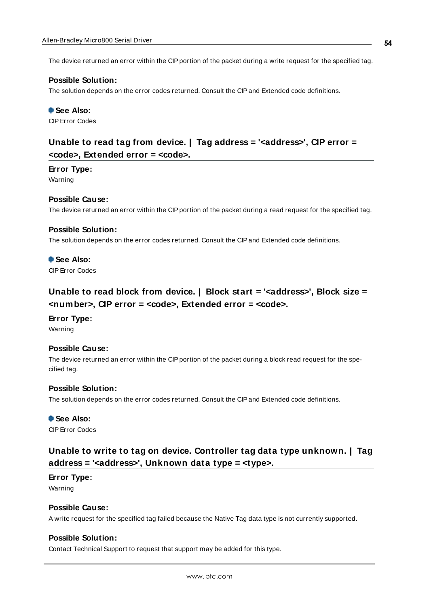The device returned an error within the CIP portion of the packet during a write request for the specified tag.

#### **Possible Solution:**

The solution depends on the error codes returned. Consult the CIPand Extended code definitions.

 **See Also:**

<span id="page-53-0"></span>CIPError Codes

# **Unable to read tag from device. | Tag address = '<address>', CIP error = <code>, Extended error = <code>.**

#### **Error Type:**

Warning

#### **Possible Cause:**

The device returned an error within the CIP portion of the packet during a read request for the specified tag.

#### **Possible Solution:**

The solution depends on the error codes returned. Consult the CIPand Extended code definitions.

# **See Also:**

<span id="page-53-1"></span>CIPError Codes

# **Unable to read block from device. | Block start = '<address>', Block size = <number>, CIP error = <code>, Extended error = <code>.**

### **Error Type:** Warning

#### **Possible Cause:**

The device returned an error within the CIP portion of the packet during a block read request for the specified tag.

#### **Possible Solution:**

The solution depends on the error codes returned. Consult the CIPand Extended code definitions.

#### **See Also:**

<span id="page-53-2"></span>CIPError Codes

# **Unable to write to tag on device. Controller tag data type unknown. | Tag address = '<address>', Unknown data type = <type>.**

#### **Error Type:**

Warning

### **Possible Cause:**

A write request for the specified tag failed because the Native Tag data type is not currently supported.

#### **Possible Solution:**

Contact Technical Support to request that support may be added for this type.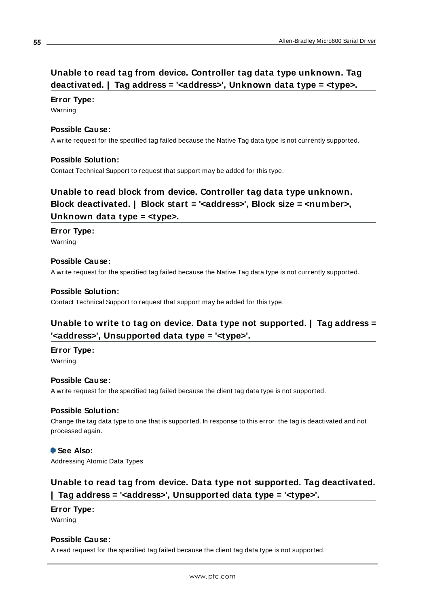# <span id="page-54-0"></span>**Unable to read tag from device. Controller tag data type unknown. Tag deactivated. | Tag address = '<address>', Unknown data type = <type>.**

### **Error Type:**

Warning

## **Possible Cause:**

A write request for the specified tag failed because the Native Tag data type is not currently supported.

## **Possible Solution:**

<span id="page-54-1"></span>Contact Technical Support to request that support may be added for this type.

# **Unable to read block from device. Controller tag data type unknown. Block deactivated. | Block start = '<address>', Block size = <number>, Unknown data type = <type>.**

### **Error Type:**

Warning

### **Possible Cause:**

A write request for the specified tag failed because the Native Tag data type is not currently supported.

### **Possible Solution:**

<span id="page-54-2"></span>Contact Technical Support to request that support may be added for this type.

# **Unable to write to tag on device. Data type not supported. | Tag address = '<address>', Unsupported data type = '<type>'.**

# **Error Type:**

Warning

### **Possible Cause:**

A write request for the specified tag failed because the client tag data type is not supported.

### **Possible Solution:**

Change the tag data type to one that is supported. In response to this error, the tag is deactivated and not processed again.

#### **See Also:** Addressing Atomic Data Types

# <span id="page-54-3"></span>**Unable to read tag from device. Data type not supported. Tag deactivated. | Tag address = '<address>', Unsupported data type = '<type>'.**

# **Error Type:**

Warning

### **Possible Cause:**

A read request for the specified tag failed because the client tag data type is not supported.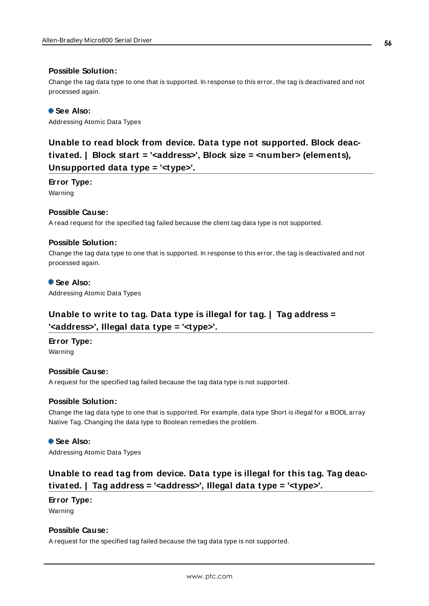### **Possible Solution:**

Change the tag data type to one that is supported. In response to this error, the tag is deactivated and not processed again.

### **See Also:**

<span id="page-55-0"></span>Addressing Atomic Data Types

**Unable to read block from device. Data type not supported. Block deactivated. | Block start = '<address>', Block size = <number> (elements), Unsupported data type = '<type>'.**

#### **Error Type:**

Warning

#### **Possible Cause:**

A read request for the specified tag failed because the client tag data type is not supported.

#### **Possible Solution:**

Change the tag data type to one that is supported. In response to this error, the tag is deactivated and not processed again.

#### **See Also:**

<span id="page-55-1"></span>Addressing Atomic Data Types

# **Unable to write to tag. Data type is illegal for tag. | Tag address = '<address>', Illegal data type = '<type>'.**

# **Error Type:**

Warning

### **Possible Cause:**

A request for the specified tag failed because the tag data type is not supported.

#### **Possible Solution:**

Change the tag data type to one that is supported. For example, data type Short is illegal for a BOOL array Native Tag. Changing the data type to Boolean remedies the problem.

### **See Also:**

<span id="page-55-2"></span>Addressing Atomic Data Types

# **Unable to read tag from device. Data type is illegal for this tag. Tag deactivated. | Tag address = '<address>', Illegal data type = '<type>'.**

## **Error Type:**

Warning

#### **Possible Cause:**

A request for the specified tag failed because the tag data type is not supported.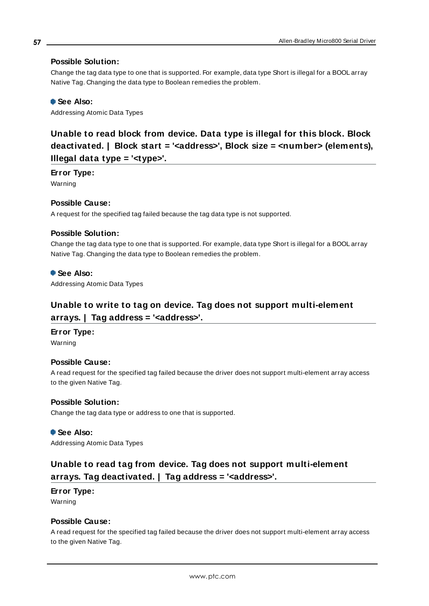## **Possible Solution:**

Change the tag data type to one that is supported. For example, data type Short is illegal for a BOOL array Native Tag. Changing the data type to Boolean remedies the problem.

## **See Also:**

<span id="page-56-0"></span>Addressing Atomic Data Types

**Unable to read block from device. Data type is illegal for this block. Block deactivated. | Block start = '<address>', Block size = <number> (elements), Illegal data type = '<type>'.**

**Error Type:**

Warning

### **Possible Cause:**

A request for the specified tag failed because the tag data type is not supported.

### **Possible Solution:**

Change the tag data type to one that is supported. For example, data type Short is illegal for a BOOL array Native Tag. Changing the data type to Boolean remedies the problem.

#### **See Also:**

<span id="page-56-1"></span>Addressing Atomic Data Types

# **Unable to write to tag on device. Tag does not support multi-element arrays. | Tag address = '<address>'.**

### **Error Type:**

Warning

### **Possible Cause:**

A read request for the specified tag failed because the driver does not support multi-element array access to the given Native Tag.

### **Possible Solution:**

Change the tag data type or address to one that is supported.

 **See Also:**

<span id="page-56-2"></span>Addressing Atomic Data Types

# **Unable to read tag from device. Tag does not support multi-element arrays. Tag deactivated. | Tag address = '<address>'.**

# **Error Type:**

Warning

## **Possible Cause:**

A read request for the specified tag failed because the driver does not support multi-element array access to the given Native Tag.

**57**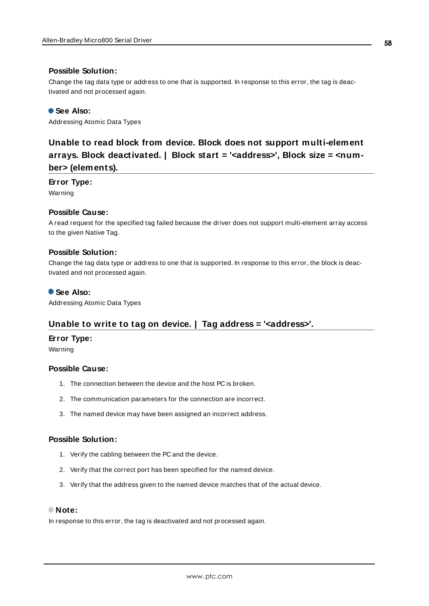#### **Possible Solution:**

Change the tag data type or address to one that is supported. In response to this error, the tag is deactivated and not processed again.

#### **See Also:**

<span id="page-57-0"></span>Addressing Atomic Data Types

# **Unable to read block from device. Block does not support multi-element arrays. Block deactivated. | Block start = '<address>', Block size = <number> (elements).**

#### **Error Type:**

Warning

### **Possible Cause:**

A read request for the specified tag failed because the driver does not support multi-element array access to the given Native Tag.

#### **Possible Solution:**

Change the tag data type or address to one that is supported. In response to this error, the block is deactivated and not processed again.

#### **See Also:**

<span id="page-57-1"></span>Addressing Atomic Data Types

# **Unable to write to tag on device. | Tag address = '<address>'.**

#### **Error Type:**

Warning

#### **Possible Cause:**

- 1. The connection between the device and the host PC is broken.
- 2. The communication parameters for the connection are incorrect.
- 3. The named device may have been assigned an incorrect address.

### **Possible Solution:**

- 1. Verify the cabling between the PC and the device.
- 2. Verify that the correct port has been specified for the named device.
- 3. Verify that the address given to the named device matches that of the actual device.

### **Note:**

In response to this error, the tag is deactivated and not processed again.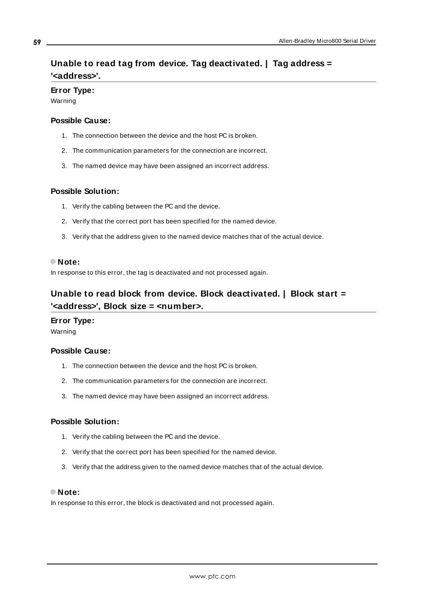# <span id="page-58-0"></span>**Unable to read tag from device. Tag deactivated. | Tag address = '<address>'.**

#### **Error Type:**

Warning

#### **Possible Cause:**

- 1. The connection between the device and the host PC is broken.
- 2. The communication parameters for the connection are incorrect.
- 3. The named device may have been assigned an incorrect address.

#### **Possible Solution:**

- 1. Verify the cabling between the PC and the device.
- 2. Verify that the correct port has been specified for the named device.
- 3. Verify that the address given to the named device matches that of the actual device.

#### **Note:**

<span id="page-58-1"></span>In response to this error, the tag is deactivated and not processed again.

# **Unable to read block from device. Block deactivated. | Block start = '<address>', Block size = <number>.**

# **Error Type:**

Warning

### **Possible Cause:**

- 1. The connection between the device and the host PC is broken.
- 2. The communication parameters for the connection are incorrect.
- 3. The named device may have been assigned an incorrect address.

## **Possible Solution:**

- 1. Verify the cabling between the PC and the device.
- 2. Verify that the correct port has been specified for the named device.
- 3. Verify that the address given to the named device matches that of the actual device.

## **Note:**

In response to this error, the block is deactivated and not processed again.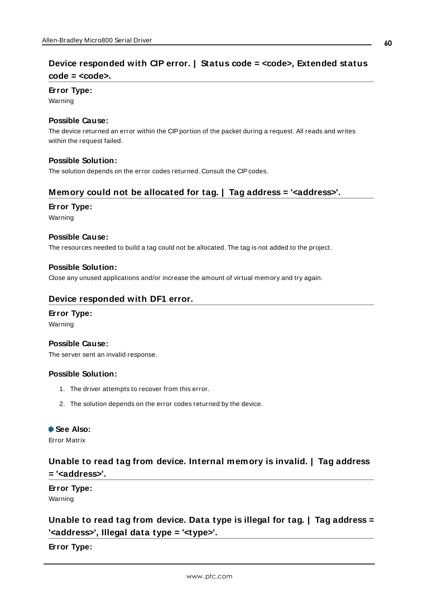# <span id="page-59-0"></span>**Device responded with CIP error. | Status code = <code>, Extended status code = <code>.**

# **Error Type:**

Warning

## **Possible Cause:**

The device returned an error within the CIPportion of the packet during a request. All reads and writes within the request failed.

## **Possible Solution:**

<span id="page-59-1"></span>The solution depends on the error codes returned. Consult the CIP codes.

# **Memory could not be allocated for tag. | Tag address = '<address>'.**

### **Error Type:**

Warning

### **Possible Cause:**

The resources needed to build a tag could not be allocated. The tag is not added to the project.

### **Possible Solution:**

<span id="page-59-2"></span>Close any unused applications and/or increase the amount of virtual memory and try again.

# **Device responded with DF1 error.**

# **Error Type:**

Warning

### **Possible Cause:**

The server sent an invalid response.

### **Possible Solution:**

- 1. The driver attempts to recover from this error.
- 2. The solution depends on the error codes returned by the device.

# **See Also:**

<span id="page-59-3"></span>Error Matrix

# **Unable to read tag from device. Internal memory is invalid. | Tag address = '<address>'.**

# **Error Type:**

<span id="page-59-4"></span>Warning

# **Unable to read tag from device. Data type is illegal for tag. | Tag address = '<address>', Illegal data type = '<type>'.**

**Error Type:**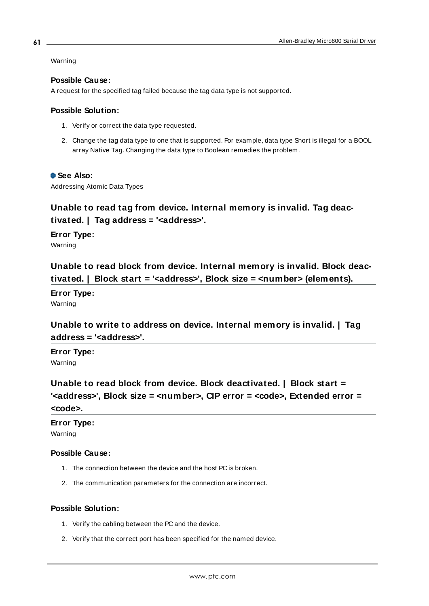Warning

### **Possible Cause:**

A request for the specified tag failed because the tag data type is not supported.

### **Possible Solution:**

- 1. Verify or correct the data type requested.
- 2. Change the tag data type to one that is supported. For example, data type Short is illegal for a BOOL array Native Tag. Changing the data type to Boolean remedies the problem.

### **See Also:**

<span id="page-60-0"></span>Addressing Atomic Data Types

# **Unable to read tag from device. Internal memory is invalid. Tag deactivated. | Tag address = '<address>'.**

**Error Type:**

<span id="page-60-1"></span>Warning

**Unable to read block from device. Internal memory is invalid. Block deactivated. | Block start = '<address>', Block size = <number> (elements).**

**Error Type:** Warning

<span id="page-60-2"></span>**Unable to write to address on device. Internal memory is invalid. | Tag address = '<address>'.**

**Error Type:** Warning

<span id="page-60-3"></span>**Unable to read block from device. Block deactivated. | Block start = '<address>', Block size = <number>, CIP error = <code>, Extended error = <code>.**

# **Error Type:** Warning

### **Possible Cause:**

- 1. The connection between the device and the host PC is broken.
- 2. The communication parameters for the connection are incorrect.

### **Possible Solution:**

- 1. Verify the cabling between the PC and the device.
- 2. Verify that the correct port has been specified for the named device.

**61**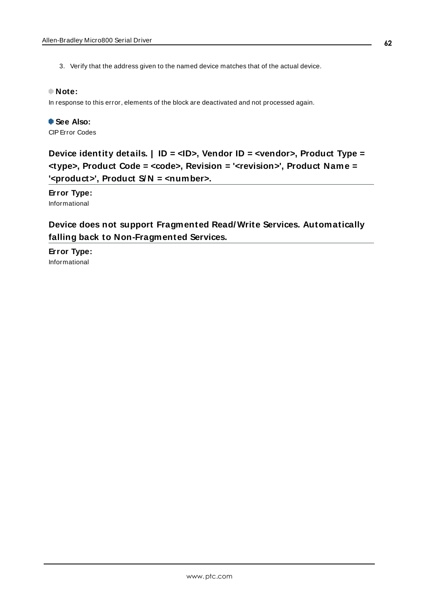3. Verify that the address given to the named device matches that of the actual device.

### **Note:**

In response to this error, elements of the block are deactivated and not processed again.

 **See Also:** CIPError Codes

<span id="page-61-0"></span>**Device identity details. | ID = <ID>, Vendor ID = <vendor>, Product Type = <type>, Product Code = <code>, Revision = '<revision>', Product Name = '<product>', Product S/ N = <number>.**

**Error Type:** Informational

# <span id="page-61-1"></span>**Device does not support Fragmented Read/ Write Services. Automatically falling back to Non-Fragmented Services.**

**Error Type:** Informational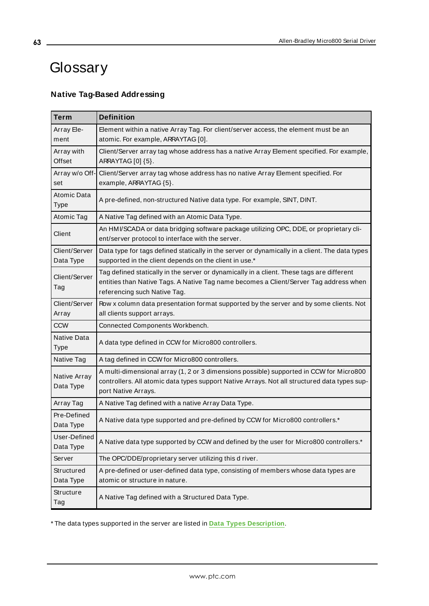# <span id="page-62-0"></span>**Glossary**

# **Native Tag-Based Addressing**

| <b>Term</b>                | <b>Definition</b>                                                                                                                                                                                                  |
|----------------------------|--------------------------------------------------------------------------------------------------------------------------------------------------------------------------------------------------------------------|
| Array Ele-<br>ment         | Element within a native Array Tag. For client/server access, the element must be an<br>atomic. For example, ARRAYTAG [0].                                                                                          |
| Array with<br>Offset       | Client/Server array tag whose address has a native Array Element specified. For example,<br>ARRAYTAG [0] {5}.                                                                                                      |
| Array w/o Off-<br>set      | Client/Server array tag whose address has no native Array Element specified. For<br>example, ARRAYTAG {5}.                                                                                                         |
| Atomic Data<br><b>Type</b> | A pre-defined, non-structured Native data type. For example, SINT, DINT.                                                                                                                                           |
| Atomic Tag                 | A Native Tag defined with an Atomic Data Type.                                                                                                                                                                     |
| Client                     | An HMI/SCADA or data bridging software package utilizing OPC, DDE, or proprietary cli-<br>ent/server protocol to interface with the server.                                                                        |
| Client/Server<br>Data Type | Data type for tags defined statically in the server or dynamically in a client. The data types<br>supported in the client depends on the client in use.*                                                           |
| Client/Server<br>Tag       | Tag defined statically in the server or dynamically in a client. These tags are different<br>entities than Native Tags. A Native Tag name becomes a Client/Server Tag address when<br>referencing such Native Tag. |
| Client/Server<br>Array     | Row x column data presentation format supported by the server and by some clients. Not<br>all clients support arrays.                                                                                              |
| <b>CCW</b>                 | Connected Components Workbench.                                                                                                                                                                                    |
| Native Data<br><b>Type</b> | A data type defined in CCW for Micro800 controllers.                                                                                                                                                               |
| Native Tag                 | A tag defined in CCW for Micro800 controllers.                                                                                                                                                                     |
| Native Array<br>Data Type  | A multi-dimensional array (1, 2 or 3 dimensions possible) supported in CCW for Micro800<br>controllers. All atomic data types support Native Arrays. Not all structured data types sup-<br>port Native Arrays.     |
| Array Tag                  | A Native Tag defined with a native Array Data Type.                                                                                                                                                                |
| Pre-Defined<br>Data Type   | A Native data type supported and pre-defined by CCW for Micro800 controllers.*                                                                                                                                     |
| User-Defined<br>Data Type  | A Native data type supported by CCW and defined by the user for Micro800 controllers.*                                                                                                                             |
| Server                     | The OPC/DDE/proprietary server utilizing this d river.                                                                                                                                                             |
| Structured<br>Data Type    | A pre-defined or user-defined data type, consisting of members whose data types are<br>atomic or structure in nature.                                                                                              |
| Structure<br>Tag           | A Native Tag defined with a Structured Data Type.                                                                                                                                                                  |

\* The data types supported in the server are listed in **Data Types [Description](#page-22-0)**.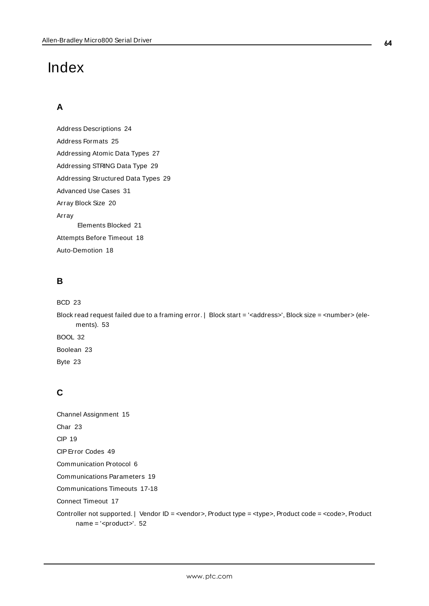# <span id="page-63-0"></span>Index

# **A**

Address Descriptions [24](#page-23-0) Address Formats [25](#page-24-0) Addressing Atomic Data Types [27](#page-26-1) Addressing STRING Data Type [29](#page-28-1) Addressing Structured Data Types [29](#page-28-0) Advanced Use Cases [31](#page-30-0) Array Block Size [20](#page-19-1) Array Elements Blocked [21](#page-20-3) Attempts Before Timeout [18](#page-17-1) Auto-Demotion [18](#page-17-0)

# **B**

```
BCD 23
```
Block read request failed due to a framing error. | Block start = '<address>', Block size = <number> (elements). [53](#page-52-1) BOOL [32](#page-31-0) Boolean [23](#page-22-2) Byte [23](#page-22-3)

# **C**

Channel Assignment [15](#page-14-1) Char [23](#page-22-4) CIP [19](#page-18-2) CIPError Codes [49](#page-48-2) Communication Protocol [6](#page-5-2) Communications Parameters [19](#page-18-0) Communications Timeouts [17-18](#page-16-1) Connect Timeout [17](#page-16-2) Controller not supported. | Vendor ID = <vendor>, Product type = <type>, Product code = <code>, Product name = '<product>'. [52](#page-51-1)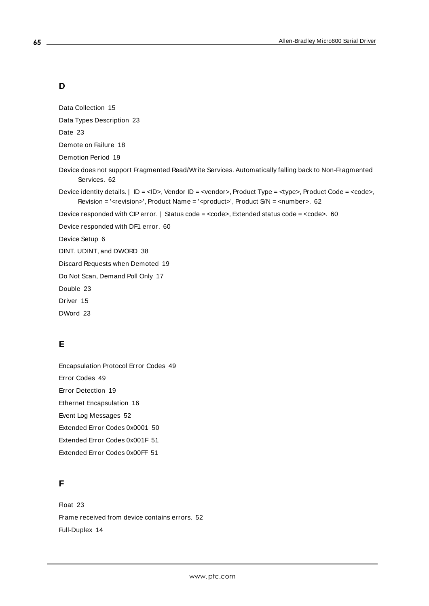# **D**

Data Collection [15](#page-14-2)

Data Types Description [23](#page-22-0)

Date [23](#page-22-5)

Demote on Failure [18](#page-17-2)

Demotion Period [19](#page-18-3)

Device does not support Fragmented Read/Write Services. Automatically falling back to Non-Fragmented Services. [62](#page-61-1)

Device identity details. | ID = <ID>, Vendor ID = <vendor>, Product Type = <type>, Product Code = <code>, Revision = '<revision>', Product Name = '<product>', Product S/N = <number>. [62](#page-61-0)

Device responded with CIP error. | Status code = <code>, Extended status code = <code>. [60](#page-59-0)

Device responded with DF1 error. [60](#page-59-2)

Device Setup [6](#page-5-1)

DINT, UDINT, and DWORD [38](#page-37-0)

Discard Requests when Demoted [19](#page-18-4)

Do Not Scan, Demand Poll Only [17](#page-16-3)

Double [23](#page-22-6)

Driver [15](#page-14-3)

DWord [23](#page-22-7)

# **E**

Encapsulation Protocol Error Codes [49](#page-48-1) Error Codes [49](#page-48-0) Error Detection [19](#page-18-5) Ethernet Encapsulation [16](#page-15-0) Event Log Messages [52](#page-51-0) Extended Error Codes 0x0001 [50](#page-49-0) Extended Error Codes 0x001F [51](#page-50-0) Extended Error Codes 0x00FF [51](#page-50-1)

# **F**

Float [23](#page-22-8) Frame received from device contains errors. [52](#page-51-2) Full-Duplex [14](#page-13-2)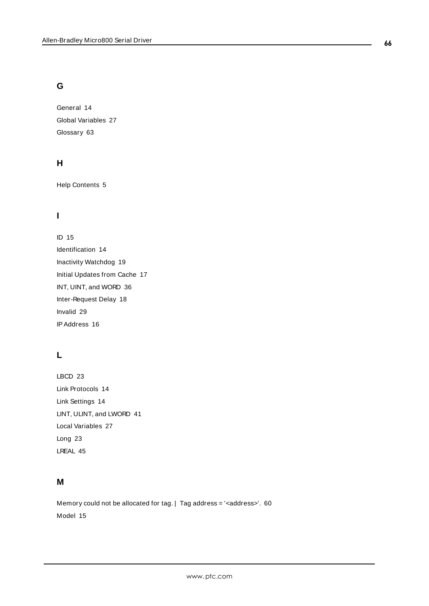# **G**

General [14](#page-13-1) Global Variables [27](#page-26-2) Glossary [63](#page-62-0)

# **H**

Help Contents [5](#page-4-0)

# **I**

ID [15](#page-14-4) Identification [14](#page-13-1) Inactivity Watchdog [19](#page-18-6) Initial Updates from Cache [17](#page-16-4) INT, UINT, and WORD [36](#page-35-0) Inter-Request Delay [18](#page-17-3) Invalid [29](#page-28-2) IPAddress [16](#page-15-2)

# **L**

LBCD [23](#page-22-9) Link Protocols [14](#page-13-2) Link Settings [14](#page-13-0) LINT, ULINT, and LWORD [41](#page-40-0) Local Variables [27](#page-26-3) Long [23](#page-22-10) LREAL [45](#page-44-0)

# **M**

Memory could not be allocated for tag. | Tag address = '<address>'. [60](#page-59-1) Model [15](#page-14-5)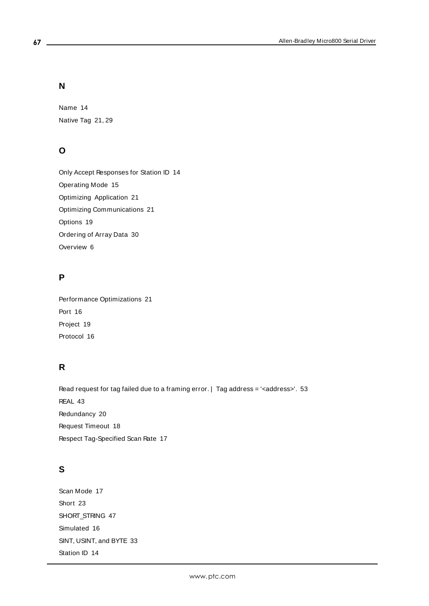# **N**

Name [14](#page-13-3) Native Tag [21,](#page-20-4) [29](#page-28-3)

# **O**

Only Accept Responses for Station ID [14](#page-13-4) Operating Mode [15](#page-14-0) Optimizing Application [21](#page-20-2) Optimizing Communications [21](#page-20-1) Options [19](#page-18-1) Ordering of Array Data [30](#page-29-0) Overview [6](#page-5-0)

# **P**

Performance Optimizations [21](#page-20-0) Port [16](#page-15-3) Project [19](#page-18-7) Protocol [16](#page-15-4)

# **R**

Read request for tag failed due to a framing error. | Tag address = '<address>'. [53](#page-52-0) REAL [43](#page-42-0) Redundancy [20](#page-19-0) Request Timeout [18](#page-17-4) Respect Tag-Specified Scan Rate [17](#page-16-5)

# **S**

Scan Mode [17](#page-16-6) Short [23](#page-22-11) SHORT\_STRING [47](#page-46-0) Simulated [16](#page-15-5) SINT, USINT, and BYTE [33](#page-32-0) Station ID [14](#page-13-5)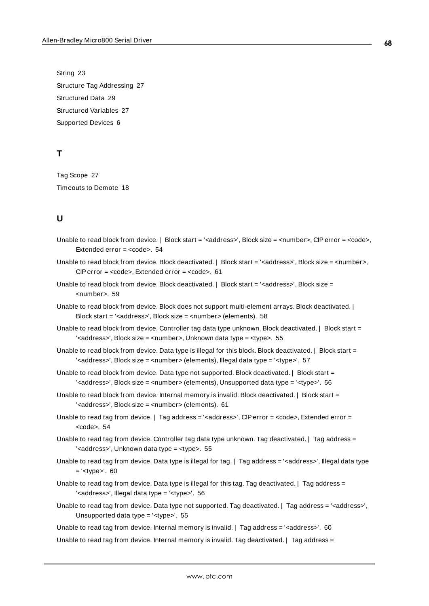String [23](#page-22-12) Structure Tag Addressing [27](#page-26-0) Structured Data [29](#page-28-0) Structured Variables [27](#page-26-4) Supported Devices [6](#page-5-3)

# **T**

Tag Scope [27](#page-26-0) Timeouts to Demote [18](#page-17-5)

# **U**

- Unable to read block from device. | Block start = '<address>', Block size = <number>, CIP error = <code>, Extended error = <code>. [54](#page-53-1)</sup>
- Unable to read block from device. Block deactivated. | Block start = '<address>', Block size = <number>, CIP error = <code>, Extended error = <code>. [61](#page-60-3)</sup>
- Unable to read block from device. Block deactivated. | Block start = '<address>', Block size = <number>. [59](#page-58-1)
- Unable to read block from device. Block does not support multi-element arrays. Block deactivated. | Block start = '<address>', Block size = <number> (elements). [58](#page-57-0)
- Unable to read block from device. Controller tag data type unknown. Block deactivated. | Block start = '<address>', Block size = <number>, Unknown data type = <type>. [55](#page-54-1)
- Unable to read block from device. Data type is illegal for this block. Block deactivated. | Block start = '<address>', Block size = <number> (elements), Illegal data type = '<type>'. [57](#page-56-0)
- Unable to read block from device. Data type not supported. Block deactivated. | Block start = '<address>', Block size = <number> (elements), Unsupported data type = '<type>'. [56](#page-55-0)
- Unable to read block from device. Internal memory is invalid. Block deactivated. | Block start = '<address>', Block size = <number> (elements). [61](#page-60-1)
- Unable to read tag from device. | Tag address = '<address>', CIP error = <code>, Extended error = kcode</code>>. [54](#page-53-0)
- Unable to read tag from device. Controller tag data type unknown. Tag deactivated. | Tag address = '<address>', Unknown data type = <type>. [55](#page-54-0)
- Unable to read tag from device. Data type is illegal for tag. | Tag address = '<address>', Illegal data type  $=$ '<type>'. [60](#page-59-4)
- Unable to read tag from device. Data type is illegal for this tag. Tag deactivated. | Tag address = '<address>', Illegal data type = '<type>'. [56](#page-55-2)
- Unable to read tag from device. Data type not supported. Tag deactivated. | Tag address = '<address>', Unsupported data type = '<type>'. [55](#page-54-3)
- Unable to read tag from device. Internal memory is invalid. | Tag address = '<address>'. [60](#page-59-3)
- Unable to read tag from device. Internal memory is invalid. Tag deactivated. | Tag address =